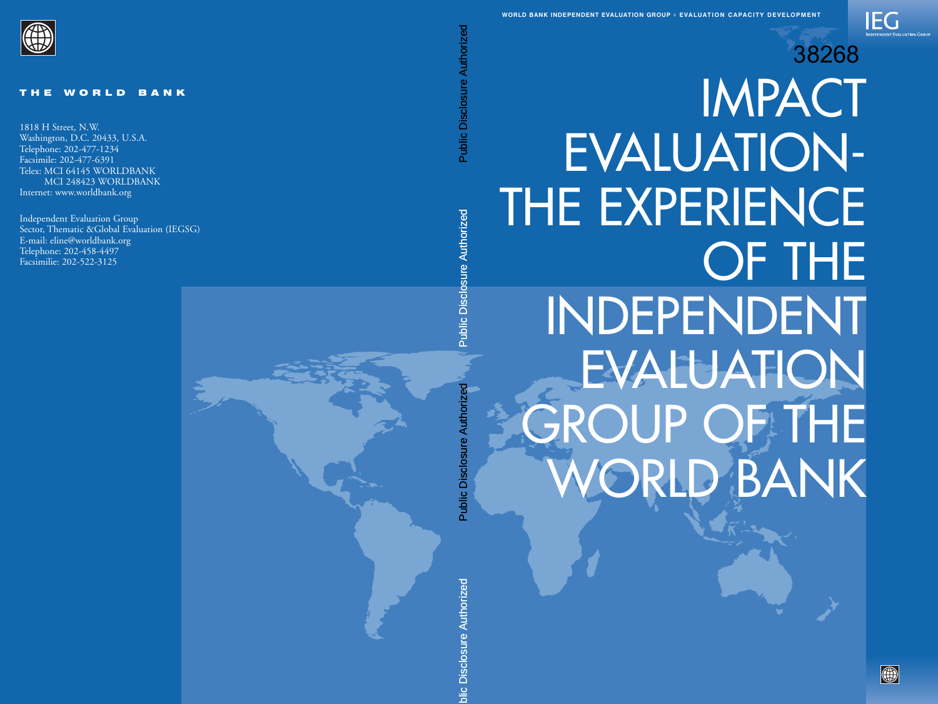

 $\circledast$ 

# IMPACT E VALUATION-THE EXPERIENCE OF THE INDEPENDENT EVALUATION GROUP OF THE ORLD BANK 38268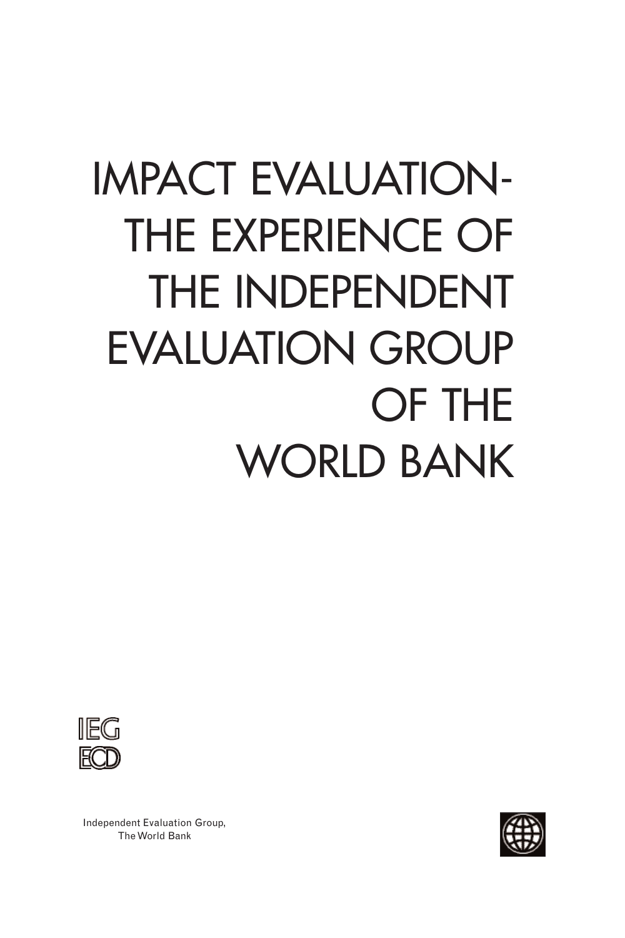## IMPACT EVALUATION-THE EXPERIENCE OF THE INDEPENDENT EVALUATION GROUP OF THE WORLD BANK



Independent Evaluation Group, The World Bank

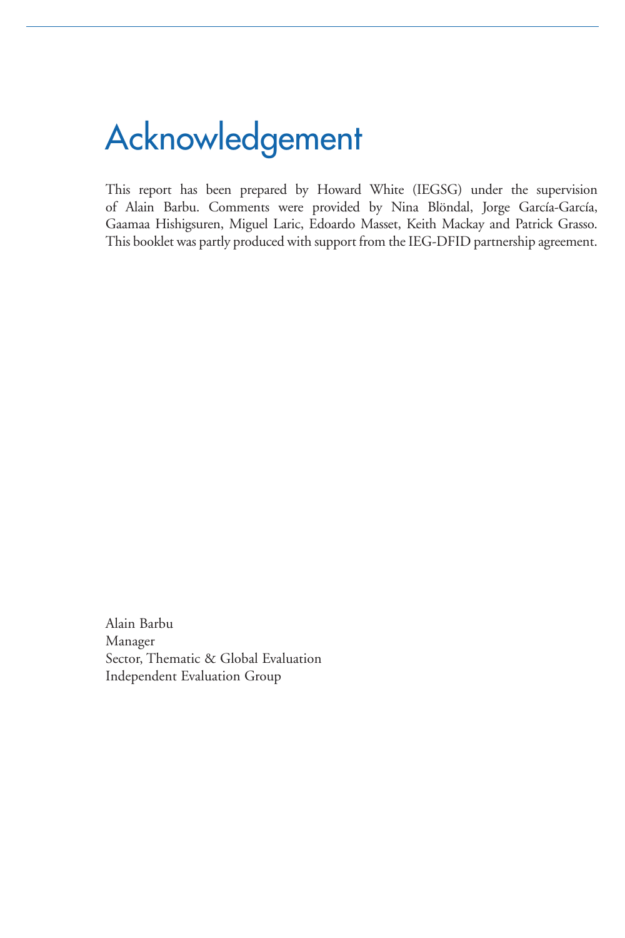## Acknowledgement

This report has been prepared by Howard White (IEGSG) under the supervision of Alain Barbu. Comments were provided by Nina Blöndal, Jorge García-García, Gaamaa Hishigsuren, Miguel Laric, Edoardo Masset, Keith Mackay and Patrick Grasso. This booklet was partly produced with support from the IEG-DFID partnership agreement.

Alain Barbu Manager Sector, Thematic & Global Evaluation Independent Evaluation Group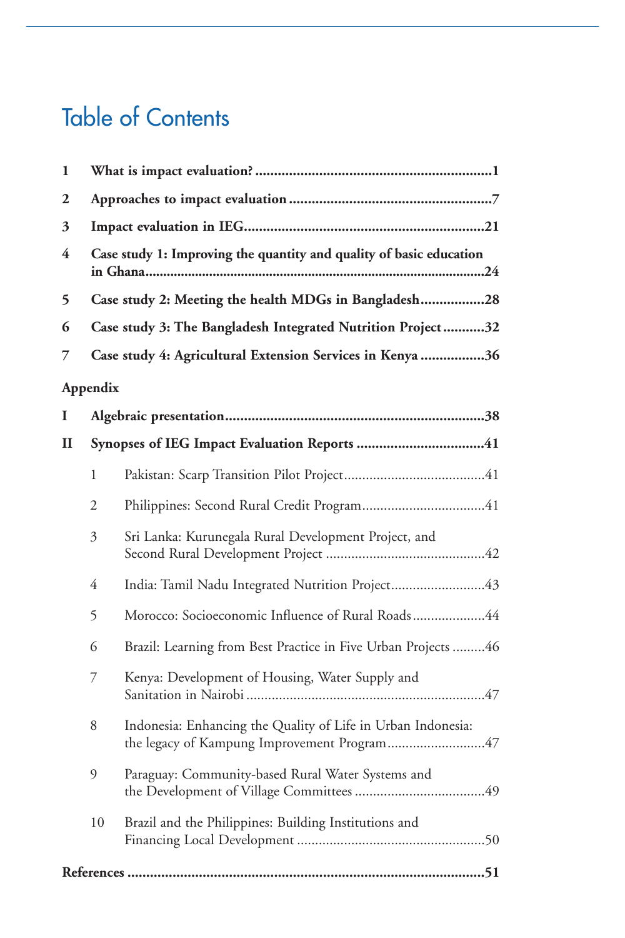### Table of Contents

| 1 |                 |                                                                                                             |  |  |  |
|---|-----------------|-------------------------------------------------------------------------------------------------------------|--|--|--|
| 2 |                 |                                                                                                             |  |  |  |
| 3 |                 |                                                                                                             |  |  |  |
| 4 |                 | Case study 1: Improving the quantity and quality of basic education                                         |  |  |  |
| 5 |                 | Case study 2: Meeting the health MDGs in Bangladesh28                                                       |  |  |  |
| 6 |                 | Case study 3: The Bangladesh Integrated Nutrition Project32                                                 |  |  |  |
| 7 |                 | Case study 4: Agricultural Extension Services in Kenya 36                                                   |  |  |  |
|   | <b>Appendix</b> |                                                                                                             |  |  |  |
| I |                 |                                                                                                             |  |  |  |
| П |                 |                                                                                                             |  |  |  |
|   | 1               |                                                                                                             |  |  |  |
|   | 2               |                                                                                                             |  |  |  |
|   | 3               | Sri Lanka: Kurunegala Rural Development Project, and                                                        |  |  |  |
|   | 4               | India: Tamil Nadu Integrated Nutrition Project43                                                            |  |  |  |
|   | 5               | Morocco: Socioeconomic Influence of Rural Roads44                                                           |  |  |  |
|   | 6               | Brazil: Learning from Best Practice in Five Urban Projects 46                                               |  |  |  |
|   | 7               | Kenya: Development of Housing, Water Supply and                                                             |  |  |  |
|   | 8               | Indonesia: Enhancing the Quality of Life in Urban Indonesia:<br>the legacy of Kampung Improvement Program47 |  |  |  |
|   | 9               | Paraguay: Community-based Rural Water Systems and                                                           |  |  |  |
|   | 10              | Brazil and the Philippines: Building Institutions and                                                       |  |  |  |
|   |                 |                                                                                                             |  |  |  |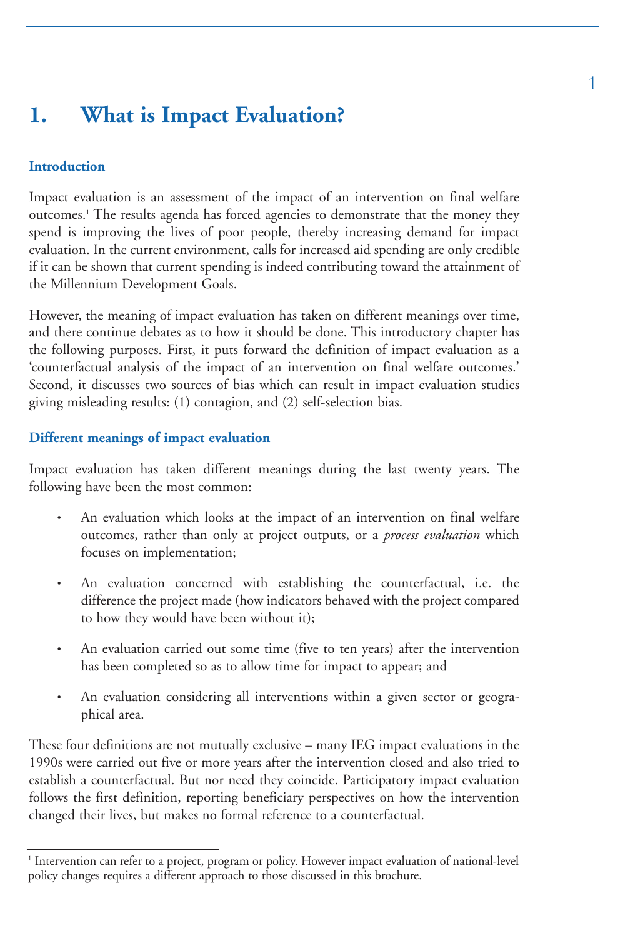### **1. What is Impact Evaluation?**

### **Introduction**

Impact evaluation is an assessment of the impact of an intervention on final welfare outcomes.<sup>1</sup> The results agenda has forced agencies to demonstrate that the money they spend is improving the lives of poor people, thereby increasing demand for impact evaluation. In the current environment, calls for increased aid spending are only credible if it can be shown that current spending is indeed contributing toward the attainment of the Millennium Development Goals.

However, the meaning of impact evaluation has taken on different meanings over time, and there continue debates as to how it should be done. This introductory chapter has the following purposes. First, it puts forward the definition of impact evaluation as a 'counterfactual analysis of the impact of an intervention on final welfare outcomes.' Second, it discusses two sources of bias which can result in impact evaluation studies giving misleading results: (1) contagion, and (2) self-selection bias.

### **Different meanings of impact evaluation**

Impact evaluation has taken different meanings during the last twenty years. The following have been the most common:

- An evaluation which looks at the impact of an intervention on final welfare outcomes, rather than only at project outputs, or a *process evaluation* which focuses on implementation;
- An evaluation concerned with establishing the counterfactual, i.e. the difference the project made (how indicators behaved with the project compared to how they would have been without it);
- An evaluation carried out some time (five to ten years) after the intervention has been completed so as to allow time for impact to appear; and
- An evaluation considering all interventions within a given sector or geographical area.

These four definitions are not mutually exclusive – many IEG impact evaluations in the 1990s were carried out five or more years after the intervention closed and also tried to establish a counterfactual. But nor need they coincide. Participatory impact evaluation follows the first definition, reporting beneficiary perspectives on how the intervention changed their lives, but makes no formal reference to a counterfactual.

<sup>&</sup>lt;sup>1</sup> Intervention can refer to a project, program or policy. However impact evaluation of national-level policy changes requires a different approach to those discussed in this brochure.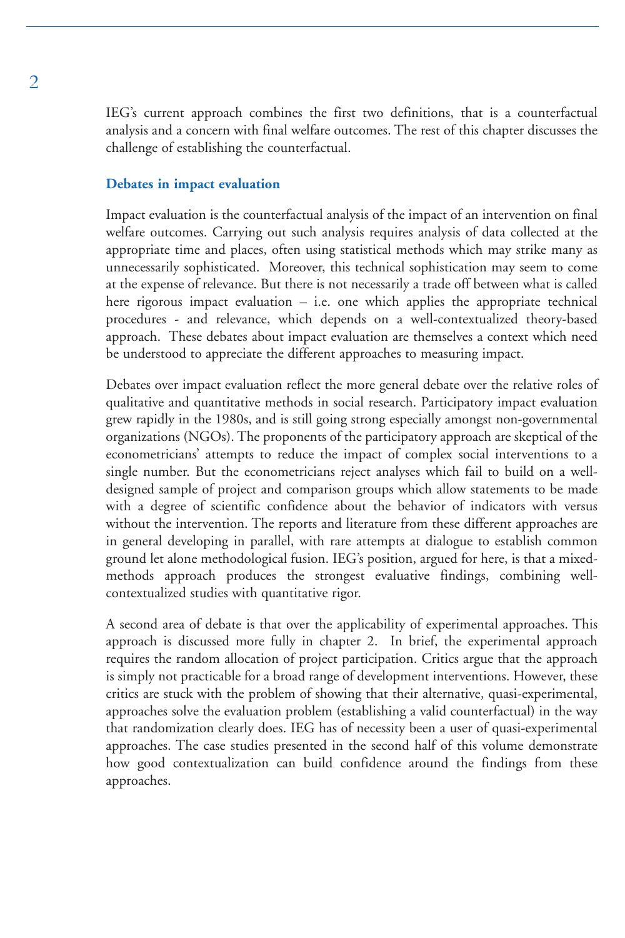IEG's current approach combines the first two definitions, that is a counterfactual analysis and a concern with final welfare outcomes. The rest of this chapter discusses the challenge of establishing the counterfactual.

### **Debates in impact evaluation**

Impact evaluation is the counterfactual analysis of the impact of an intervention on final welfare outcomes. Carrying out such analysis requires analysis of data collected at the appropriate time and places, often using statistical methods which may strike many as unnecessarily sophisticated. Moreover, this technical sophistication may seem to come at the expense of relevance. But there is not necessarily a trade off between what is called here rigorous impact evaluation – i.e. one which applies the appropriate technical procedures - and relevance, which depends on a well-contextualized theory-based approach. These debates about impact evaluation are themselves a context which need be understood to appreciate the different approaches to measuring impact.

Debates over impact evaluation reflect the more general debate over the relative roles of qualitative and quantitative methods in social research. Participatory impact evaluation grew rapidly in the 1980s, and is still going strong especially amongst non-governmental organizations (NGOs). The proponents of the participatory approach are skeptical of the econometricians' attempts to reduce the impact of complex social interventions to a single number. But the econometricians reject analyses which fail to build on a welldesigned sample of project and comparison groups which allow statements to be made with a degree of scientific confidence about the behavior of indicators with versus without the intervention. The reports and literature from these different approaches are in general developing in parallel, with rare attempts at dialogue to establish common ground let alone methodological fusion. IEG's position, argued for here, is that a mixedmethods approach produces the strongest evaluative findings, combining wellcontextualized studies with quantitative rigor.

A second area of debate is that over the applicability of experimental approaches. This approach is discussed more fully in chapter 2. In brief, the experimental approach requires the random allocation of project participation. Critics argue that the approach is simply not practicable for a broad range of development interventions. However, these critics are stuck with the problem of showing that their alternative, quasi-experimental, approaches solve the evaluation problem (establishing a valid counterfactual) in the way that randomization clearly does. IEG has of necessity been a user of quasi-experimental approaches. The case studies presented in the second half of this volume demonstrate how good contextualization can build confidence around the findings from these approaches.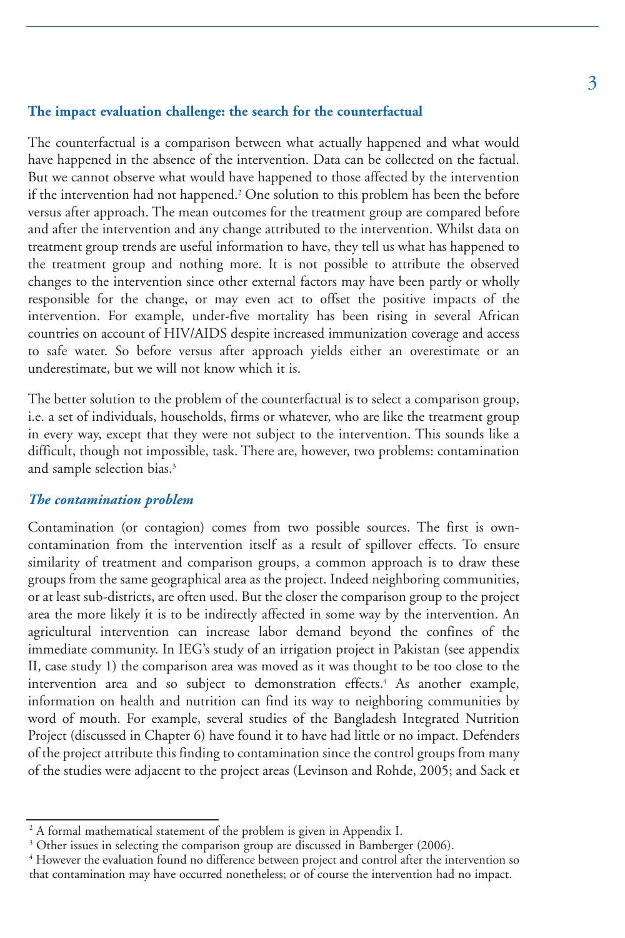### **The impact evaluation challenge: the search for the counterfactual**

The counterfactual is a comparison between what actually happened and what would have happened in the absence of the intervention. Data can be collected on the factual. But we cannot observe what would have happened to those affected by the intervention if the intervention had not happened.<sup>2</sup> One solution to this problem has been the before versus after approach. The mean outcomes for the treatment group are compared before and after the intervention and any change attributed to the intervention. Whilst data on treatment group trends are useful information to have, they tell us what has happened to the treatment group and nothing more. It is not possible to attribute the observed changes to the intervention since other external factors may have been partly or wholly responsible for the change, or may even act to offset the positive impacts of the intervention. For example, under-five mortality has been rising in several African countries on account of HIV/AIDS despite increased immunization coverage and access to safe water. So before versus after approach yields either an overestimate or an underestimate, but we will not know which it is.

The better solution to the problem of the counterfactual is to select a comparison group, i.e. a set of individuals, households, firms or whatever, who are like the treatment group in every way, except that they were not subject to the intervention. This sounds like a difficult, though not impossible, task. There are, however, two problems: contamination and sample selection bias.3

### *The contamination problem*

Contamination (or contagion) comes from two possible sources. The first is owncontamination from the intervention itself as a result of spillover effects. To ensure similarity of treatment and comparison groups, a common approach is to draw these groups from the same geographical area as the project. Indeed neighboring communities, or at least sub-districts, are often used. But the closer the comparison group to the project area the more likely it is to be indirectly affected in some way by the intervention. An agricultural intervention can increase labor demand beyond the confines of the immediate community. In IEG's study of an irrigation project in Pakistan (see appendix II, case study 1) the comparison area was moved as it was thought to be too close to the intervention area and so subject to demonstration effects.<sup>4</sup> As another example, information on health and nutrition can find its way to neighboring communities by word of mouth. For example, several studies of the Bangladesh Integrated Nutrition Project (discussed in Chapter 6) have found it to have had little or no impact. Defenders of the project attribute this finding to contamination since the control groups from many of the studies were adjacent to the project areas (Levinson and Rohde, 2005; and Sack et

<sup>&</sup>lt;sup>2</sup> A formal mathematical statement of the problem is given in Appendix I.

<sup>&</sup>lt;sup>3</sup> Other issues in selecting the comparison group are discussed in Bamberger (2006).

<sup>&</sup>lt;sup>4</sup> However the evaluation found no difference between project and control after the intervention so that contamination may have occurred nonetheless; or of course the intervention had no impact.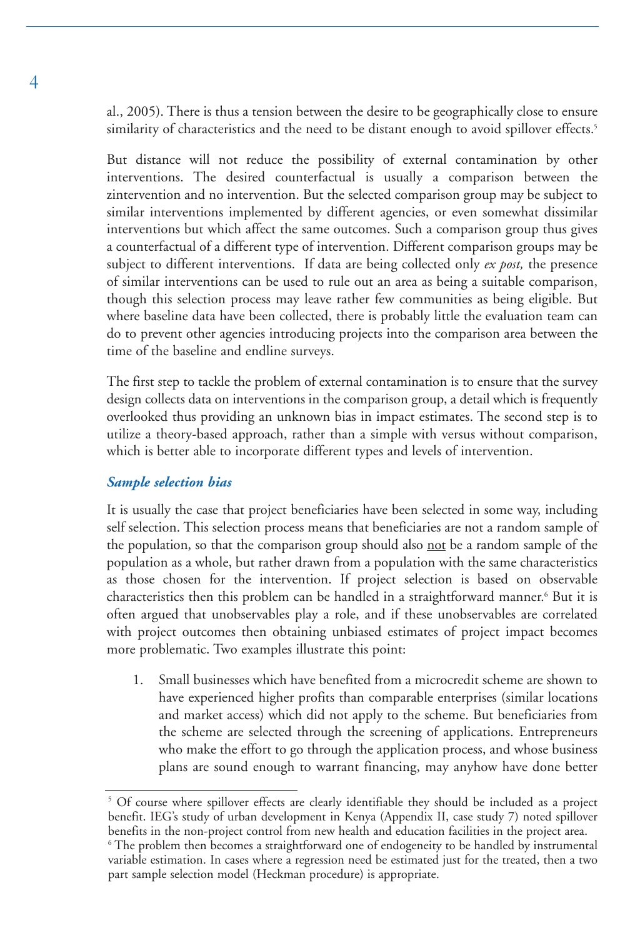al., 2005). There is thus a tension between the desire to be geographically close to ensure similarity of characteristics and the need to be distant enough to avoid spillover effects.<sup>5</sup>

But distance will not reduce the possibility of external contamination by other interventions. The desired counterfactual is usually a comparison between the zintervention and no intervention. But the selected comparison group may be subject to similar interventions implemented by different agencies, or even somewhat dissimilar interventions but which affect the same outcomes. Such a comparison group thus gives a counterfactual of a different type of intervention. Different comparison groups may be subject to different interventions. If data are being collected only *ex post,* the presence of similar interventions can be used to rule out an area as being a suitable comparison, though this selection process may leave rather few communities as being eligible. But where baseline data have been collected, there is probably little the evaluation team can do to prevent other agencies introducing projects into the comparison area between the time of the baseline and endline surveys.

The first step to tackle the problem of external contamination is to ensure that the survey design collects data on interventions in the comparison group, a detail which is frequently overlooked thus providing an unknown bias in impact estimates. The second step is to utilize a theory-based approach, rather than a simple with versus without comparison, which is better able to incorporate different types and levels of intervention.

### *Sample selection bias*

It is usually the case that project beneficiaries have been selected in some way, including self selection. This selection process means that beneficiaries are not a random sample of the population, so that the comparison group should also not be a random sample of the population as a whole, but rather drawn from a population with the same characteristics as those chosen for the intervention. If project selection is based on observable characteristics then this problem can be handled in a straightforward manner.<sup>6</sup> But it is often argued that unobservables play a role, and if these unobservables are correlated with project outcomes then obtaining unbiased estimates of project impact becomes more problematic. Two examples illustrate this point:

1. Small businesses which have benefited from a microcredit scheme are shown to have experienced higher profits than comparable enterprises (similar locations and market access) which did not apply to the scheme. But beneficiaries from the scheme are selected through the screening of applications. Entrepreneurs who make the effort to go through the application process, and whose business plans are sound enough to warrant financing, may anyhow have done better

<sup>&</sup>lt;sup>5</sup> Of course where spillover effects are clearly identifiable they should be included as a project benefit. IEG's study of urban development in Kenya (Appendix II, case study 7) noted spillover benefits in the non-project control from new health and education facilities in the project area.

<sup>6</sup> The problem then becomes a straightforward one of endogeneity to be handled by instrumental variable estimation. In cases where a regression need be estimated just for the treated, then a two part sample selection model (Heckman procedure) is appropriate.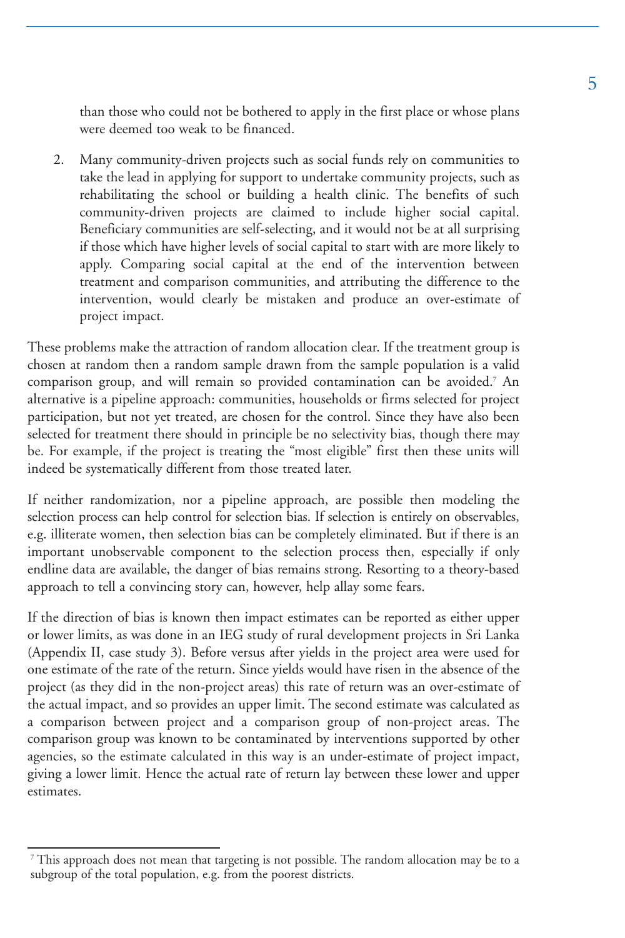than those who could not be bothered to apply in the first place or whose plans were deemed too weak to be financed.

2. Many community-driven projects such as social funds rely on communities to take the lead in applying for support to undertake community projects, such as rehabilitating the school or building a health clinic. The benefits of such community-driven projects are claimed to include higher social capital. Beneficiary communities are self-selecting, and it would not be at all surprising if those which have higher levels of social capital to start with are more likely to apply. Comparing social capital at the end of the intervention between treatment and comparison communities, and attributing the difference to the intervention, would clearly be mistaken and produce an over-estimate of project impact.

These problems make the attraction of random allocation clear. If the treatment group is chosen at random then a random sample drawn from the sample population is a valid comparison group, and will remain so provided contamination can be avoided.<sup>7</sup> An alternative is a pipeline approach: communities, households or firms selected for project participation, but not yet treated, are chosen for the control. Since they have also been selected for treatment there should in principle be no selectivity bias, though there may be. For example, if the project is treating the "most eligible" first then these units will indeed be systematically different from those treated later.

If neither randomization, nor a pipeline approach, are possible then modeling the selection process can help control for selection bias. If selection is entirely on observables, e.g. illiterate women, then selection bias can be completely eliminated. But if there is an important unobservable component to the selection process then, especially if only endline data are available, the danger of bias remains strong. Resorting to a theory-based approach to tell a convincing story can, however, help allay some fears.

If the direction of bias is known then impact estimates can be reported as either upper or lower limits, as was done in an IEG study of rural development projects in Sri Lanka (Appendix II, case study 3). Before versus after yields in the project area were used for one estimate of the rate of the return. Since yields would have risen in the absence of the project (as they did in the non-project areas) this rate of return was an over-estimate of the actual impact, and so provides an upper limit. The second estimate was calculated as a comparison between project and a comparison group of non-project areas. The comparison group was known to be contaminated by interventions supported by other agencies, so the estimate calculated in this way is an under-estimate of project impact, giving a lower limit. Hence the actual rate of return lay between these lower and upper estimates.

<sup>&</sup>lt;sup>7</sup> This approach does not mean that targeting is not possible. The random allocation may be to a subgroup of the total population, e.g. from the poorest districts.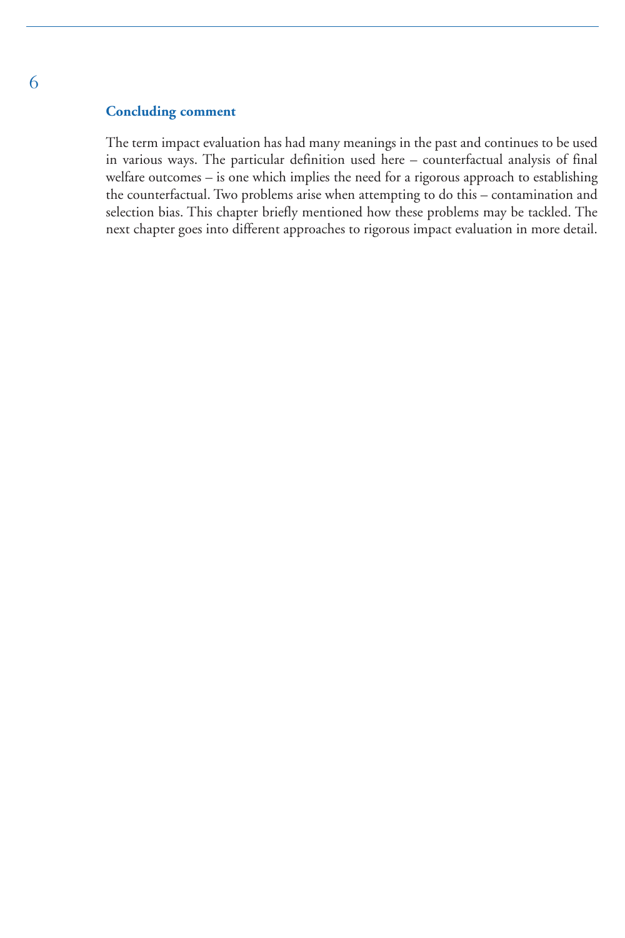### **Concluding comment**

The term impact evaluation has had many meanings in the past and continues to be used in various ways. The particular definition used here – counterfactual analysis of final welfare outcomes – is one which implies the need for a rigorous approach to establishing the counterfactual. Two problems arise when attempting to do this – contamination and selection bias. This chapter briefly mentioned how these problems may be tackled. The next chapter goes into different approaches to rigorous impact evaluation in more detail.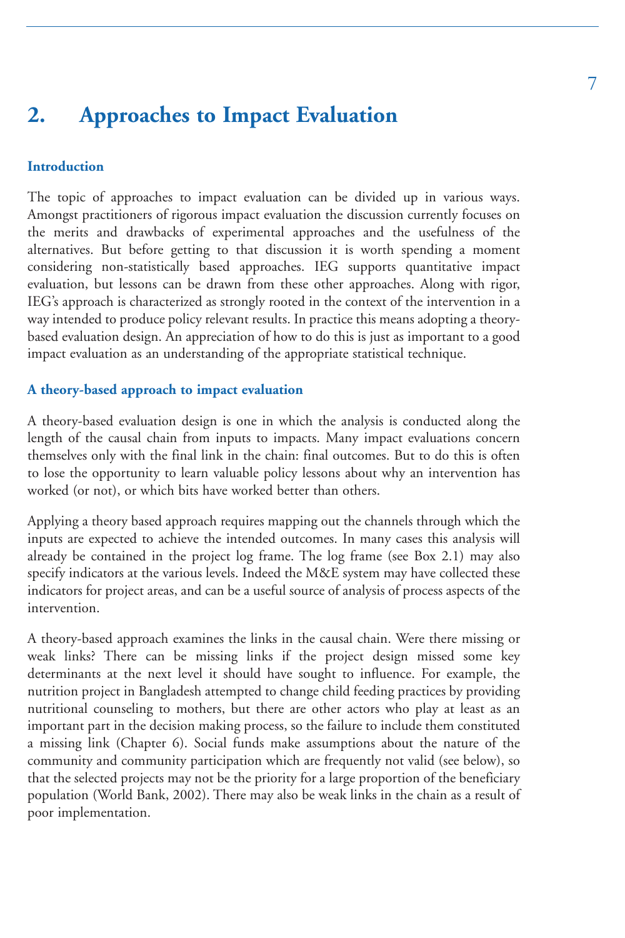### **2. Approaches to Impact Evaluation**

### **Introduction**

The topic of approaches to impact evaluation can be divided up in various ways. Amongst practitioners of rigorous impact evaluation the discussion currently focuses on the merits and drawbacks of experimental approaches and the usefulness of the alternatives. But before getting to that discussion it is worth spending a moment considering non-statistically based approaches. IEG supports quantitative impact evaluation, but lessons can be drawn from these other approaches. Along with rigor, IEG's approach is characterized as strongly rooted in the context of the intervention in a way intended to produce policy relevant results. In practice this means adopting a theorybased evaluation design. An appreciation of how to do this is just as important to a good impact evaluation as an understanding of the appropriate statistical technique.

### **A theory-based approach to impact evaluation**

A theory-based evaluation design is one in which the analysis is conducted along the length of the causal chain from inputs to impacts. Many impact evaluations concern themselves only with the final link in the chain: final outcomes. But to do this is often to lose the opportunity to learn valuable policy lessons about why an intervention has worked (or not), or which bits have worked better than others.

Applying a theory based approach requires mapping out the channels through which the inputs are expected to achieve the intended outcomes. In many cases this analysis will already be contained in the project log frame. The log frame (see Box 2.1) may also specify indicators at the various levels. Indeed the M&E system may have collected these indicators for project areas, and can be a useful source of analysis of process aspects of the intervention.

A theory-based approach examines the links in the causal chain. Were there missing or weak links? There can be missing links if the project design missed some key determinants at the next level it should have sought to influence. For example, the nutrition project in Bangladesh attempted to change child feeding practices by providing nutritional counseling to mothers, but there are other actors who play at least as an important part in the decision making process, so the failure to include them constituted a missing link (Chapter 6). Social funds make assumptions about the nature of the community and community participation which are frequently not valid (see below), so that the selected projects may not be the priority for a large proportion of the beneficiary population (World Bank, 2002). There may also be weak links in the chain as a result of poor implementation.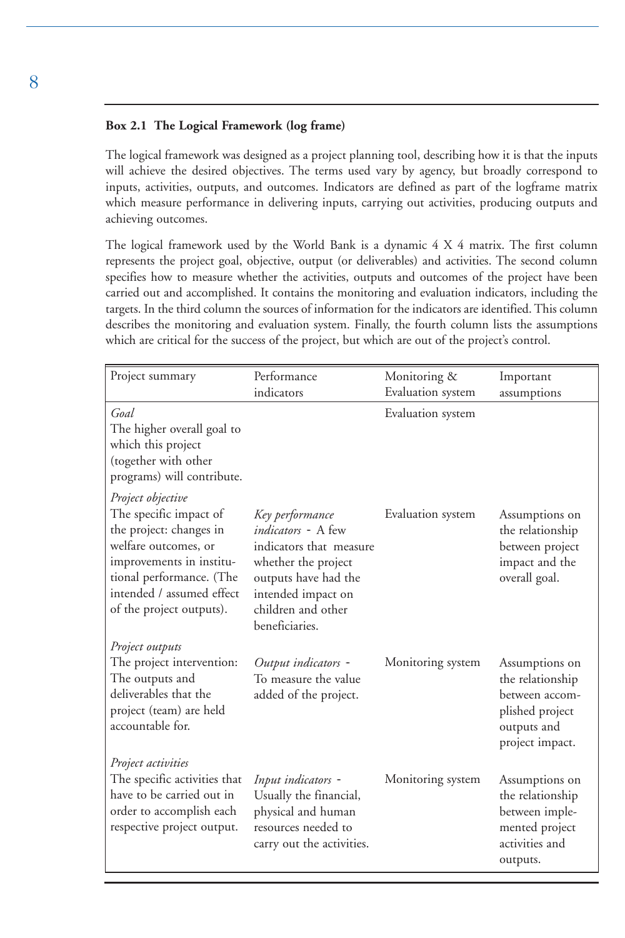### **Box 2.1 The Logical Framework (log frame)**

The logical framework was designed as a project planning tool, describing how it is that the inputs will achieve the desired objectives. The terms used vary by agency, but broadly correspond to inputs, activities, outputs, and outcomes. Indicators are defined as part of the logframe matrix which measure performance in delivering inputs, carrying out activities, producing outputs and achieving outcomes.

The logical framework used by the World Bank is a dynamic 4 X 4 matrix. The first column represents the project goal, objective, output (or deliverables) and activities. The second column specifies how to measure whether the activities, outputs and outcomes of the project have been carried out and accomplished. It contains the monitoring and evaluation indicators, including the targets. In the third column the sources of information for the indicators are identified. This column describes the monitoring and evaluation system. Finally, the fourth column lists the assumptions which are critical for the success of the project, but which are out of the project's control.

| Project summary                                                                                                                                                                                                 | Performance<br>indicators                                                                                                                                                            | Monitoring &<br>Evaluation system | Important<br>assumptions                                                                                  |
|-----------------------------------------------------------------------------------------------------------------------------------------------------------------------------------------------------------------|--------------------------------------------------------------------------------------------------------------------------------------------------------------------------------------|-----------------------------------|-----------------------------------------------------------------------------------------------------------|
| Goal<br>The higher overall goal to<br>which this project<br>(together with other<br>programs) will contribute.                                                                                                  |                                                                                                                                                                                      | Evaluation system                 |                                                                                                           |
| Project objective<br>The specific impact of<br>the project: changes in<br>welfare outcomes, or<br>improvements in institu-<br>tional performance. (The<br>intended / assumed effect<br>of the project outputs). | Key performance<br><i>indicators</i> - A few<br>indicators that measure<br>whether the project<br>outputs have had the<br>intended impact on<br>children and other<br>beneficiaries. | Evaluation system                 | Assumptions on<br>the relationship<br>between project<br>impact and the<br>overall goal.                  |
| Project outputs<br>The project intervention:<br>The outputs and<br>deliverables that the<br>project (team) are held<br>accountable for.                                                                         | Output indicators -<br>To measure the value<br>added of the project.                                                                                                                 | Monitoring system                 | Assumptions on<br>the relationship<br>between accom-<br>plished project<br>outputs and<br>project impact. |
| Project activities<br>The specific activities that<br>have to be carried out in<br>order to accomplish each<br>respective project output.                                                                       | Input indicators -<br>Usually the financial,<br>physical and human<br>resources needed to<br>carry out the activities.                                                               | Monitoring system                 | Assumptions on<br>the relationship<br>between imple-<br>mented project<br>activities and<br>outputs.      |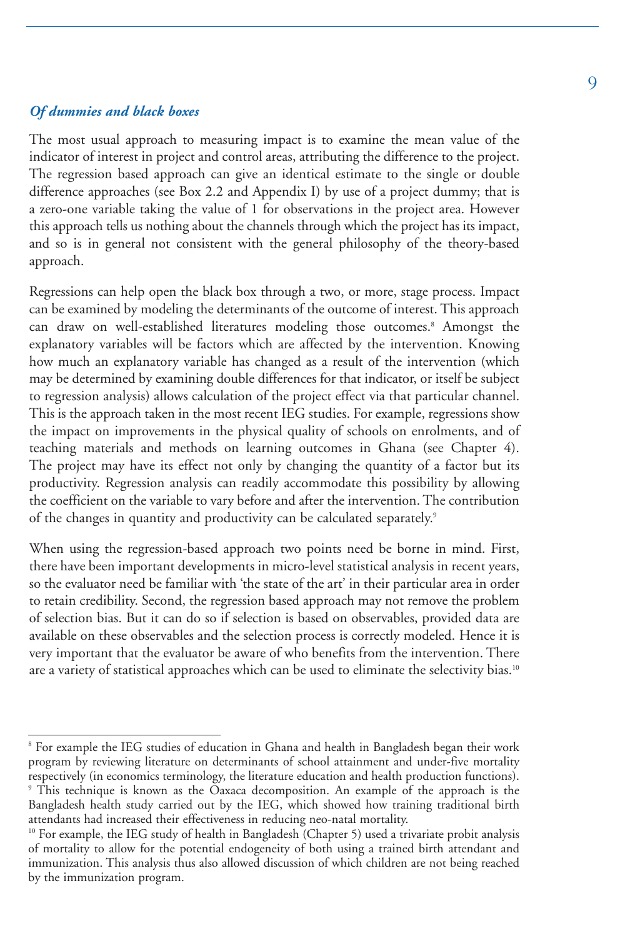### *Of dummies and black boxes*

The most usual approach to measuring impact is to examine the mean value of the indicator of interest in project and control areas, attributing the difference to the project. The regression based approach can give an identical estimate to the single or double difference approaches (see Box 2.2 and Appendix I) by use of a project dummy; that is a zero-one variable taking the value of 1 for observations in the project area. However this approach tells us nothing about the channels through which the project has its impact, and so is in general not consistent with the general philosophy of the theory-based approach.

Regressions can help open the black box through a two, or more, stage process. Impact can be examined by modeling the determinants of the outcome of interest. This approach can draw on well-established literatures modeling those outcomes.<sup>8</sup> Amongst the explanatory variables will be factors which are affected by the intervention. Knowing how much an explanatory variable has changed as a result of the intervention (which may be determined by examining double differences for that indicator, or itself be subject to regression analysis) allows calculation of the project effect via that particular channel. This is the approach taken in the most recent IEG studies. For example, regressions show the impact on improvements in the physical quality of schools on enrolments, and of teaching materials and methods on learning outcomes in Ghana (see Chapter 4). The project may have its effect not only by changing the quantity of a factor but its productivity. Regression analysis can readily accommodate this possibility by allowing the coefficient on the variable to vary before and after the intervention. The contribution of the changes in quantity and productivity can be calculated separately.<sup>9</sup>

When using the regression-based approach two points need be borne in mind. First, there have been important developments in micro-level statistical analysis in recent years, so the evaluator need be familiar with 'the state of the art' in their particular area in order to retain credibility. Second, the regression based approach may not remove the problem of selection bias. But it can do so if selection is based on observables, provided data are available on these observables and the selection process is correctly modeled. Hence it is very important that the evaluator be aware of who benefits from the intervention. There are a variety of statistical approaches which can be used to eliminate the selectivity bias.<sup>10</sup>

<sup>8</sup> For example the IEG studies of education in Ghana and health in Bangladesh began their work program by reviewing literature on determinants of school attainment and under-five mortality respectively (in economics terminology, the literature education and health production functions). <sup>9</sup> This technique is known as the Oaxaca decomposition. An example of the approach is the Bangladesh health study carried out by the IEG, which showed how training traditional birth attendants had increased their effectiveness in reducing neo-natal mortality.

<sup>&</sup>lt;sup>10</sup> For example, the IEG study of health in Bangladesh (Chapter 5) used a trivariate probit analysis of mortality to allow for the potential endogeneity of both using a trained birth attendant and immunization. This analysis thus also allowed discussion of which children are not being reached by the immunization program.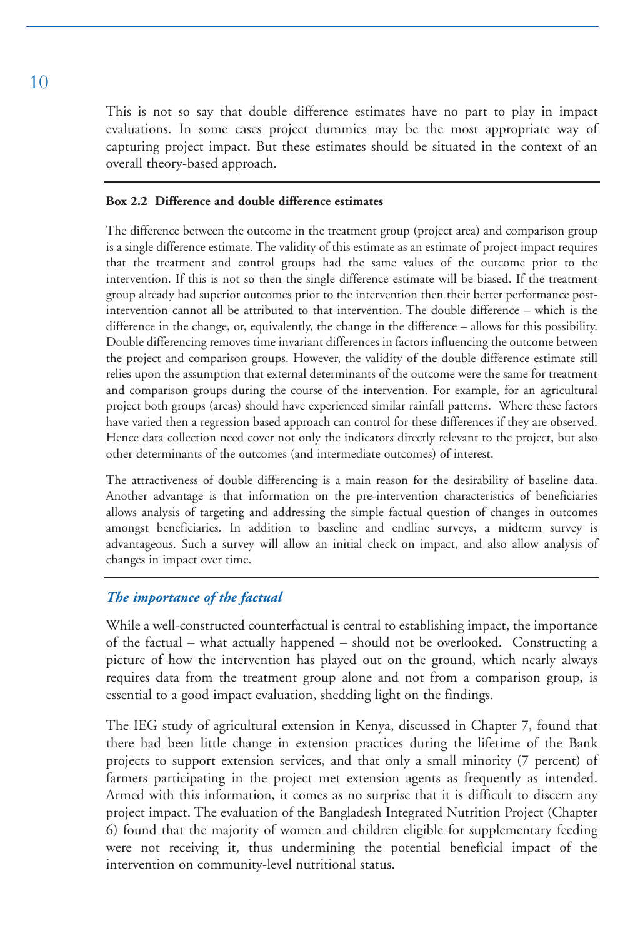This is not so say that double difference estimates have no part to play in impact evaluations. In some cases project dummies may be the most appropriate way of capturing project impact. But these estimates should be situated in the context of an overall theory-based approach.

#### **Box 2.2 Difference and double difference estimates**

The difference between the outcome in the treatment group (project area) and comparison group is a single difference estimate. The validity of this estimate as an estimate of project impact requires that the treatment and control groups had the same values of the outcome prior to the intervention. If this is not so then the single difference estimate will be biased. If the treatment group already had superior outcomes prior to the intervention then their better performance postintervention cannot all be attributed to that intervention. The double difference – which is the difference in the change, or, equivalently, the change in the difference – allows for this possibility. Double differencing removes time invariant differences in factors influencing the outcome between the project and comparison groups. However, the validity of the double difference estimate still relies upon the assumption that external determinants of the outcome were the same for treatment and comparison groups during the course of the intervention. For example, for an agricultural project both groups (areas) should have experienced similar rainfall patterns. Where these factors have varied then a regression based approach can control for these differences if they are observed. Hence data collection need cover not only the indicators directly relevant to the project, but also other determinants of the outcomes (and intermediate outcomes) of interest.

The attractiveness of double differencing is a main reason for the desirability of baseline data. Another advantage is that information on the pre-intervention characteristics of beneficiaries allows analysis of targeting and addressing the simple factual question of changes in outcomes amongst beneficiaries. In addition to baseline and endline surveys, a midterm survey is advantageous. Such a survey will allow an initial check on impact, and also allow analysis of changes in impact over time.

### *The importance of the factual*

While a well-constructed counterfactual is central to establishing impact, the importance of the factual – what actually happened – should not be overlooked. Constructing a picture of how the intervention has played out on the ground, which nearly always requires data from the treatment group alone and not from a comparison group, is essential to a good impact evaluation, shedding light on the findings.

The IEG study of agricultural extension in Kenya, discussed in Chapter 7, found that there had been little change in extension practices during the lifetime of the Bank projects to support extension services, and that only a small minority (7 percent) of farmers participating in the project met extension agents as frequently as intended. Armed with this information, it comes as no surprise that it is difficult to discern any project impact. The evaluation of the Bangladesh Integrated Nutrition Project (Chapter 6) found that the majority of women and children eligible for supplementary feeding were not receiving it, thus undermining the potential beneficial impact of the intervention on community-level nutritional status.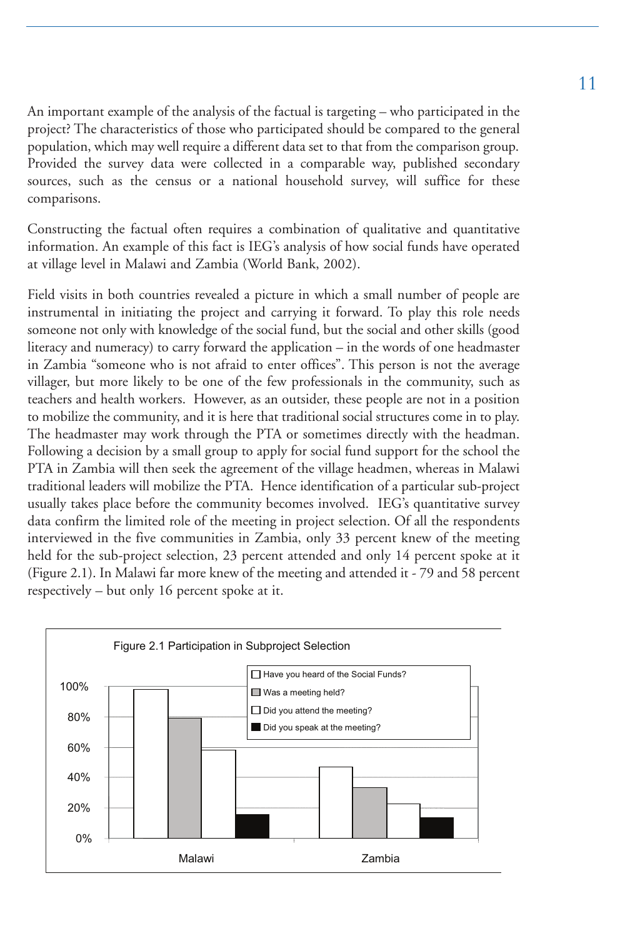An important example of the analysis of the factual is targeting – who participated in the project? The characteristics of those who participated should be compared to the general population, which may well require a different data set to that from the comparison group. Provided the survey data were collected in a comparable way, published secondary sources, such as the census or a national household survey, will suffice for these comparisons.

Constructing the factual often requires a combination of qualitative and quantitative information. An example of this fact is IEG's analysis of how social funds have operated at village level in Malawi and Zambia (World Bank, 2002).

Field visits in both countries revealed a picture in which a small number of people are instrumental in initiating the project and carrying it forward. To play this role needs someone not only with knowledge of the social fund, but the social and other skills (good literacy and numeracy) to carry forward the application – in the words of one headmaster in Zambia "someone who is not afraid to enter offices". This person is not the average villager, but more likely to be one of the few professionals in the community, such as teachers and health workers. However, as an outsider, these people are not in a position to mobilize the community, and it is here that traditional social structures come in to play. The headmaster may work through the PTA or sometimes directly with the headman. Following a decision by a small group to apply for social fund support for the school the PTA in Zambia will then seek the agreement of the village headmen, whereas in Malawi traditional leaders will mobilize the PTA. Hence identification of a particular sub-project usually takes place before the community becomes involved. IEG's quantitative survey data confirm the limited role of the meeting in project selection. Of all the respondents interviewed in the five communities in Zambia, only 33 percent knew of the meeting held for the sub-project selection, 23 percent attended and only 14 percent spoke at it (Figure 2.1). In Malawi far more knew of the meeting and attended it - 79 and 58 percent respectively – but only 16 percent spoke at it.

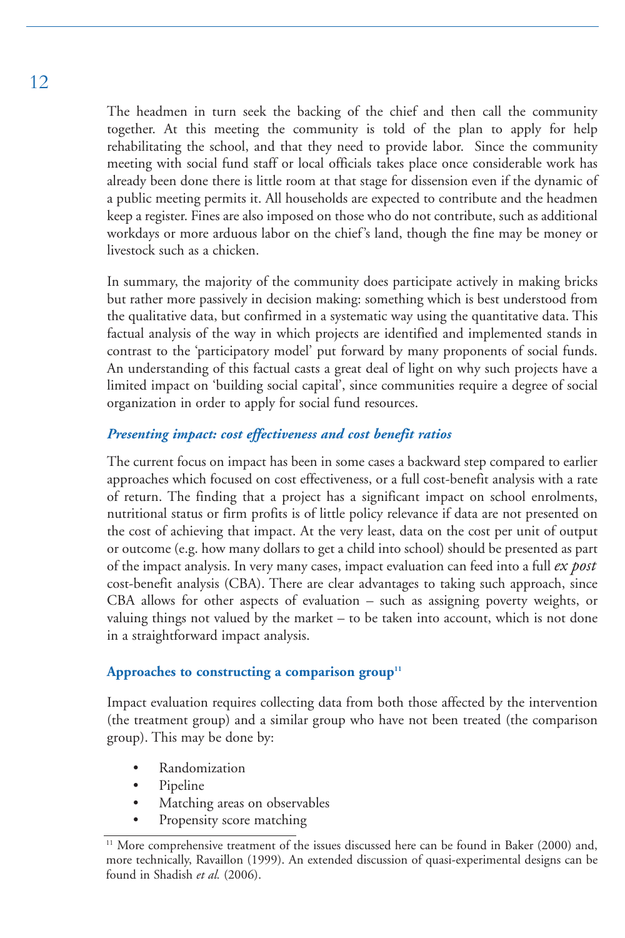The headmen in turn seek the backing of the chief and then call the community together. At this meeting the community is told of the plan to apply for help rehabilitating the school, and that they need to provide labor. Since the community meeting with social fund staff or local officials takes place once considerable work has already been done there is little room at that stage for dissension even if the dynamic of a public meeting permits it. All households are expected to contribute and the headmen keep a register. Fines are also imposed on those who do not contribute, such as additional workdays or more arduous labor on the chief's land, though the fine may be money or livestock such as a chicken.

In summary, the majority of the community does participate actively in making bricks but rather more passively in decision making: something which is best understood from the qualitative data, but confirmed in a systematic way using the quantitative data. This factual analysis of the way in which projects are identified and implemented stands in contrast to the 'participatory model' put forward by many proponents of social funds. An understanding of this factual casts a great deal of light on why such projects have a limited impact on 'building social capital', since communities require a degree of social organization in order to apply for social fund resources.

### *Presenting impact: cost effectiveness and cost benefit ratios*

The current focus on impact has been in some cases a backward step compared to earlier approaches which focused on cost effectiveness, or a full cost-benefit analysis with a rate of return. The finding that a project has a significant impact on school enrolments, nutritional status or firm profits is of little policy relevance if data are not presented on the cost of achieving that impact. At the very least, data on the cost per unit of output or outcome (e.g. how many dollars to get a child into school) should be presented as part of the impact analysis. In very many cases, impact evaluation can feed into a full *ex post* cost-benefit analysis (CBA). There are clear advantages to taking such approach, since CBA allows for other aspects of evaluation – such as assigning poverty weights, or valuing things not valued by the market – to be taken into account, which is not done in a straightforward impact analysis.

### Approaches to constructing a comparison group<sup>11</sup>

Impact evaluation requires collecting data from both those affected by the intervention (the treatment group) and a similar group who have not been treated (the comparison group). This may be done by:

- Randomization
- Pipeline
- Matching areas on observables
- Propensity score matching

<sup>&</sup>lt;sup>11</sup> More comprehensive treatment of the issues discussed here can be found in Baker (2000) and, more technically, Ravaillon (1999). An extended discussion of quasi-experimental designs can be found in Shadish *et al.* (2006).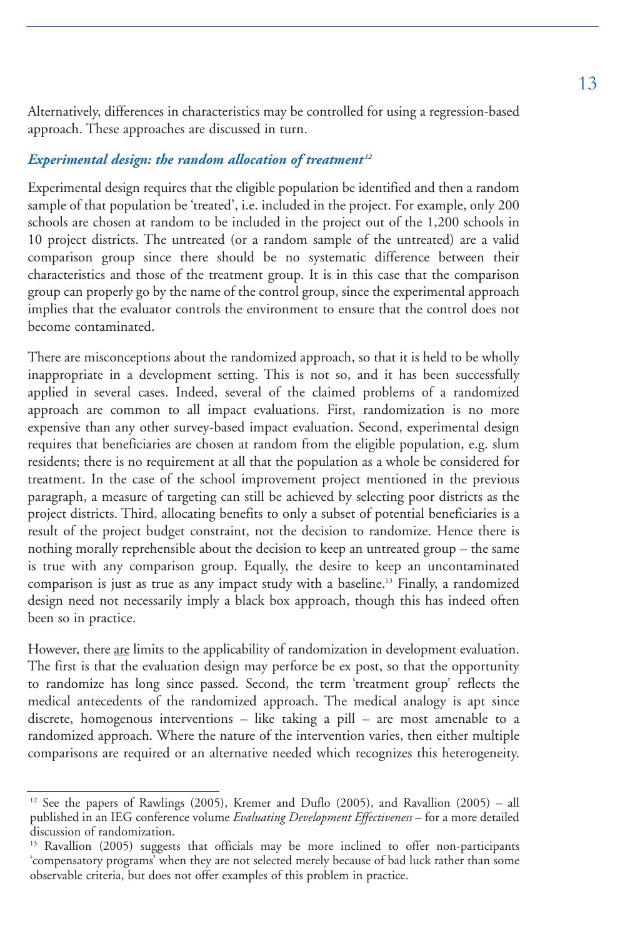Alternatively, differences in characteristics may be controlled for using a regression-based approach. These approaches are discussed in turn.

### *Experimental design: the random allocation of treatment*<sup>12</sup>

Experimental design requires that the eligible population be identified and then a random sample of that population be 'treated', i.e. included in the project. For example, only 200 schools are chosen at random to be included in the project out of the 1,200 schools in 10 project districts. The untreated (or a random sample of the untreated) are a valid comparison group since there should be no systematic difference between their characteristics and those of the treatment group. It is in this case that the comparison group can properly go by the name of the control group, since the experimental approach implies that the evaluator controls the environment to ensure that the control does not become contaminated.

There are misconceptions about the randomized approach, so that it is held to be wholly inappropriate in a development setting. This is not so, and it has been successfully applied in several cases. Indeed, several of the claimed problems of a randomized approach are common to all impact evaluations. First, randomization is no more expensive than any other survey-based impact evaluation. Second, experimental design requires that beneficiaries are chosen at random from the eligible population, e.g. slum residents; there is no requirement at all that the population as a whole be considered for treatment. In the case of the school improvement project mentioned in the previous paragraph, a measure of targeting can still be achieved by selecting poor districts as the project districts. Third, allocating benefits to only a subset of potential beneficiaries is a result of the project budget constraint, not the decision to randomize. Hence there is nothing morally reprehensible about the decision to keep an untreated group – the same is true with any comparison group. Equally, the desire to keep an uncontaminated comparison is just as true as any impact study with a baseline.13 Finally, a randomized design need not necessarily imply a black box approach, though this has indeed often been so in practice.

However, there are limits to the applicability of randomization in development evaluation. The first is that the evaluation design may perforce be ex post, so that the opportunity to randomize has long since passed. Second, the term 'treatment group' reflects the medical antecedents of the randomized approach. The medical analogy is apt since discrete, homogenous interventions – like taking a pill – are most amenable to a randomized approach. Where the nature of the intervention varies, then either multiple comparisons are required or an alternative needed which recognizes this heterogeneity.

<sup>&</sup>lt;sup>12</sup> See the papers of Rawlings (2005), Kremer and Duflo (2005), and Ravallion (2005) – all published in an IEG conference volume *Evaluating Development Effectiveness* – for a more detailed discussion of randomization.

<sup>&</sup>lt;sup>13</sup> Ravallion (2005) suggests that officials may be more inclined to offer non-participants 'compensatory programs' when they are not selected merely because of bad luck rather than some observable criteria, but does not offer examples of this problem in practice.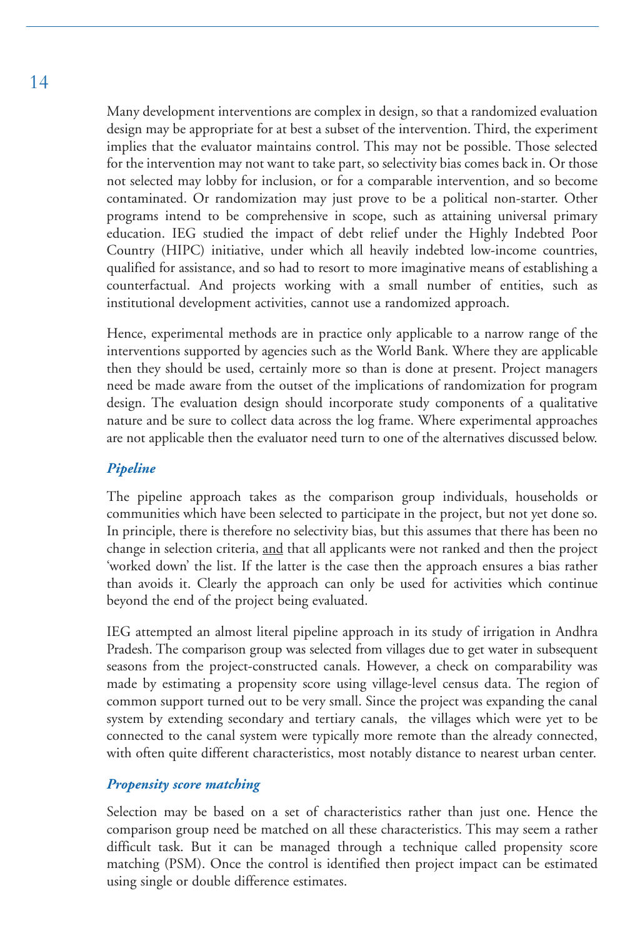Many development interventions are complex in design, so that a randomized evaluation design may be appropriate for at best a subset of the intervention. Third, the experiment implies that the evaluator maintains control. This may not be possible. Those selected for the intervention may not want to take part, so selectivity bias comes back in. Or those not selected may lobby for inclusion, or for a comparable intervention, and so become contaminated. Or randomization may just prove to be a political non-starter. Other programs intend to be comprehensive in scope, such as attaining universal primary education. IEG studied the impact of debt relief under the Highly Indebted Poor Country (HIPC) initiative, under which all heavily indebted low-income countries, qualified for assistance, and so had to resort to more imaginative means of establishing a counterfactual. And projects working with a small number of entities, such as institutional development activities, cannot use a randomized approach.

Hence, experimental methods are in practice only applicable to a narrow range of the interventions supported by agencies such as the World Bank. Where they are applicable then they should be used, certainly more so than is done at present. Project managers need be made aware from the outset of the implications of randomization for program design. The evaluation design should incorporate study components of a qualitative nature and be sure to collect data across the log frame. Where experimental approaches are not applicable then the evaluator need turn to one of the alternatives discussed below.

### *Pipeline*

The pipeline approach takes as the comparison group individuals, households or communities which have been selected to participate in the project, but not yet done so. In principle, there is therefore no selectivity bias, but this assumes that there has been no change in selection criteria, and that all applicants were not ranked and then the project 'worked down' the list. If the latter is the case then the approach ensures a bias rather than avoids it. Clearly the approach can only be used for activities which continue beyond the end of the project being evaluated.

IEG attempted an almost literal pipeline approach in its study of irrigation in Andhra Pradesh. The comparison group was selected from villages due to get water in subsequent seasons from the project-constructed canals. However, a check on comparability was made by estimating a propensity score using village-level census data. The region of common support turned out to be very small. Since the project was expanding the canal system by extending secondary and tertiary canals, the villages which were yet to be connected to the canal system were typically more remote than the already connected, with often quite different characteristics, most notably distance to nearest urban center.

### *Propensity score matching*

Selection may be based on a set of characteristics rather than just one. Hence the comparison group need be matched on all these characteristics. This may seem a rather difficult task. But it can be managed through a technique called propensity score matching (PSM). Once the control is identified then project impact can be estimated using single or double difference estimates.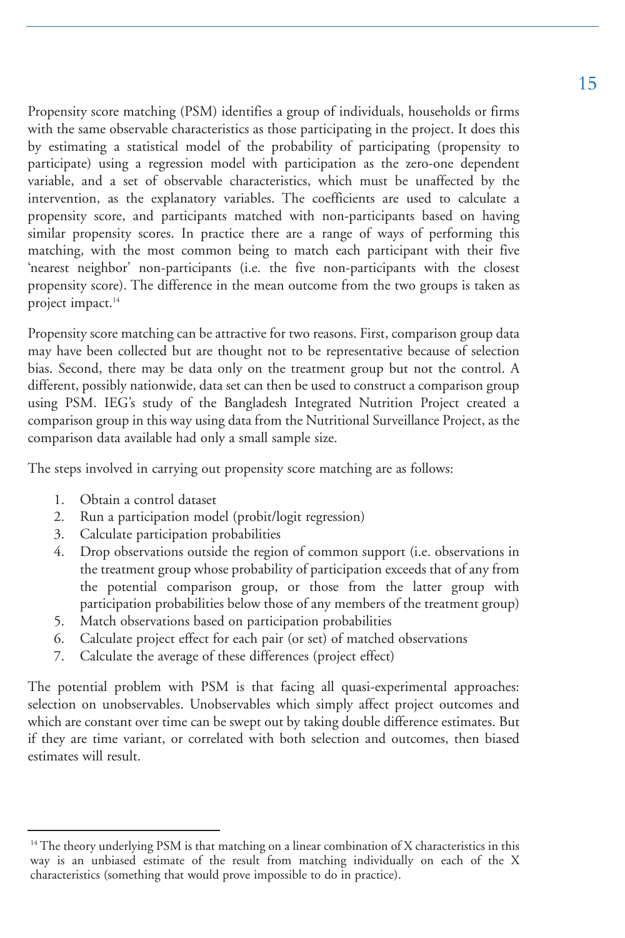Propensity score matching (PSM) identifies a group of individuals, households or firms with the same observable characteristics as those participating in the project. It does this by estimating a statistical model of the probability of participating (propensity to participate) using a regression model with participation as the zero-one dependent variable, and a set of observable characteristics, which must be unaffected by the intervention, as the explanatory variables. The coefficients are used to calculate a propensity score, and participants matched with non-participants based on having similar propensity scores. In practice there are a range of ways of performing this matching, with the most common being to match each participant with their five 'nearest neighbor' non-participants (i.e. the five non-participants with the closest propensity score). The difference in the mean outcome from the two groups is taken as project impact.<sup>14</sup>

Propensity score matching can be attractive for two reasons. First, comparison group data may have been collected but are thought not to be representative because of selection bias. Second, there may be data only on the treatment group but not the control. A different, possibly nationwide, data set can then be used to construct a comparison group using PSM. IEG's study of the Bangladesh Integrated Nutrition Project created a comparison group in this way using data from the Nutritional Surveillance Project, as the comparison data available had only a small sample size.

The steps involved in carrying out propensity score matching are as follows:

- 1. Obtain a control dataset
- 2. Run a participation model (probit/logit regression)
- 3. Calculate participation probabilities
- 4. Drop observations outside the region of common support (i.e. observations in the treatment group whose probability of participation exceeds that of any from the potential comparison group, or those from the latter group with participation probabilities below those of any members of the treatment group)
- 5. Match observations based on participation probabilities
- 6. Calculate project effect for each pair (or set) of matched observations
- 7. Calculate the average of these differences (project effect)

The potential problem with PSM is that facing all quasi-experimental approaches: selection on unobservables. Unobservables which simply affect project outcomes and which are constant over time can be swept out by taking double difference estimates. But if they are time variant, or correlated with both selection and outcomes, then biased estimates will result.

 $14$  The theory underlying PSM is that matching on a linear combination of X characteristics in this way is an unbiased estimate of the result from matching individually on each of the X characteristics (something that would prove impossible to do in practice).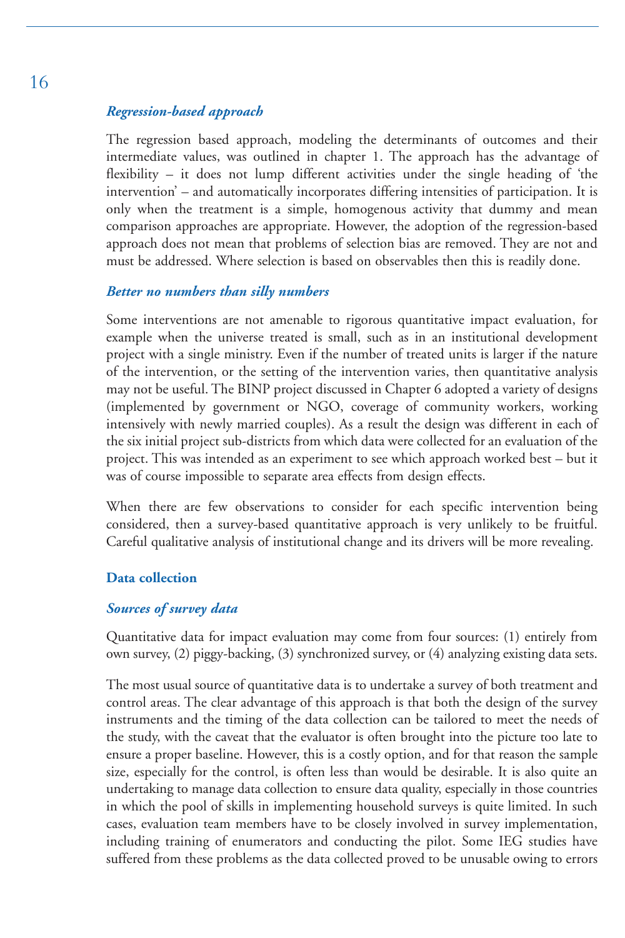### *Regression-based approach*

The regression based approach, modeling the determinants of outcomes and their intermediate values, was outlined in chapter 1. The approach has the advantage of flexibility – it does not lump different activities under the single heading of 'the intervention' – and automatically incorporates differing intensities of participation. It is only when the treatment is a simple, homogenous activity that dummy and mean comparison approaches are appropriate. However, the adoption of the regression-based approach does not mean that problems of selection bias are removed. They are not and must be addressed. Where selection is based on observables then this is readily done.

### *Better no numbers than silly numbers*

Some interventions are not amenable to rigorous quantitative impact evaluation, for example when the universe treated is small, such as in an institutional development project with a single ministry. Even if the number of treated units is larger if the nature of the intervention, or the setting of the intervention varies, then quantitative analysis may not be useful. The BINP project discussed in Chapter 6 adopted a variety of designs (implemented by government or NGO, coverage of community workers, working intensively with newly married couples). As a result the design was different in each of the six initial project sub-districts from which data were collected for an evaluation of the project. This was intended as an experiment to see which approach worked best – but it was of course impossible to separate area effects from design effects.

When there are few observations to consider for each specific intervention being considered, then a survey-based quantitative approach is very unlikely to be fruitful. Careful qualitative analysis of institutional change and its drivers will be more revealing.

### **Data collection**

### *Sources of survey data*

Quantitative data for impact evaluation may come from four sources: (1) entirely from own survey, (2) piggy-backing, (3) synchronized survey, or (4) analyzing existing data sets.

The most usual source of quantitative data is to undertake a survey of both treatment and control areas. The clear advantage of this approach is that both the design of the survey instruments and the timing of the data collection can be tailored to meet the needs of the study, with the caveat that the evaluator is often brought into the picture too late to ensure a proper baseline. However, this is a costly option, and for that reason the sample size, especially for the control, is often less than would be desirable. It is also quite an undertaking to manage data collection to ensure data quality, especially in those countries in which the pool of skills in implementing household surveys is quite limited. In such cases, evaluation team members have to be closely involved in survey implementation, including training of enumerators and conducting the pilot. Some IEG studies have suffered from these problems as the data collected proved to be unusable owing to errors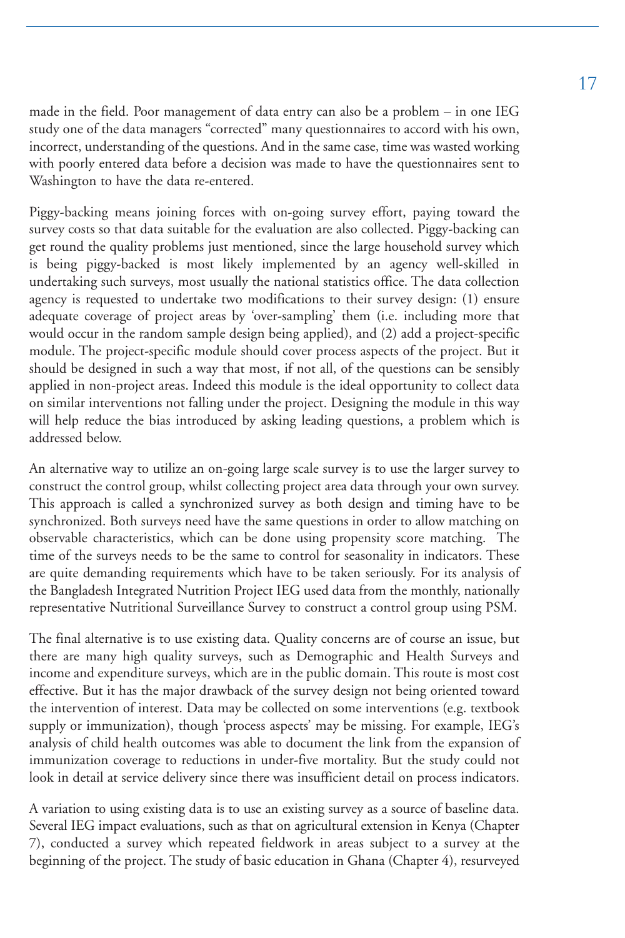made in the field. Poor management of data entry can also be a problem – in one IEG study one of the data managers "corrected" many questionnaires to accord with his own, incorrect, understanding of the questions. And in the same case, time was wasted working with poorly entered data before a decision was made to have the questionnaires sent to Washington to have the data re-entered.

Piggy-backing means joining forces with on-going survey effort, paying toward the survey costs so that data suitable for the evaluation are also collected. Piggy-backing can get round the quality problems just mentioned, since the large household survey which is being piggy-backed is most likely implemented by an agency well-skilled in undertaking such surveys, most usually the national statistics office. The data collection agency is requested to undertake two modifications to their survey design: (1) ensure adequate coverage of project areas by 'over-sampling' them (i.e. including more that would occur in the random sample design being applied), and (2) add a project-specific module. The project-specific module should cover process aspects of the project. But it should be designed in such a way that most, if not all, of the questions can be sensibly applied in non-project areas. Indeed this module is the ideal opportunity to collect data on similar interventions not falling under the project. Designing the module in this way will help reduce the bias introduced by asking leading questions, a problem which is addressed below.

An alternative way to utilize an on-going large scale survey is to use the larger survey to construct the control group, whilst collecting project area data through your own survey. This approach is called a synchronized survey as both design and timing have to be synchronized. Both surveys need have the same questions in order to allow matching on observable characteristics, which can be done using propensity score matching. The time of the surveys needs to be the same to control for seasonality in indicators. These are quite demanding requirements which have to be taken seriously. For its analysis of the Bangladesh Integrated Nutrition Project IEG used data from the monthly, nationally representative Nutritional Surveillance Survey to construct a control group using PSM.

The final alternative is to use existing data. Quality concerns are of course an issue, but there are many high quality surveys, such as Demographic and Health Surveys and income and expenditure surveys, which are in the public domain. This route is most cost effective. But it has the major drawback of the survey design not being oriented toward the intervention of interest. Data may be collected on some interventions (e.g. textbook supply or immunization), though 'process aspects' may be missing. For example, IEG's analysis of child health outcomes was able to document the link from the expansion of immunization coverage to reductions in under-five mortality. But the study could not look in detail at service delivery since there was insufficient detail on process indicators.

A variation to using existing data is to use an existing survey as a source of baseline data. Several IEG impact evaluations, such as that on agricultural extension in Kenya (Chapter 7), conducted a survey which repeated fieldwork in areas subject to a survey at the beginning of the project. The study of basic education in Ghana (Chapter 4), resurveyed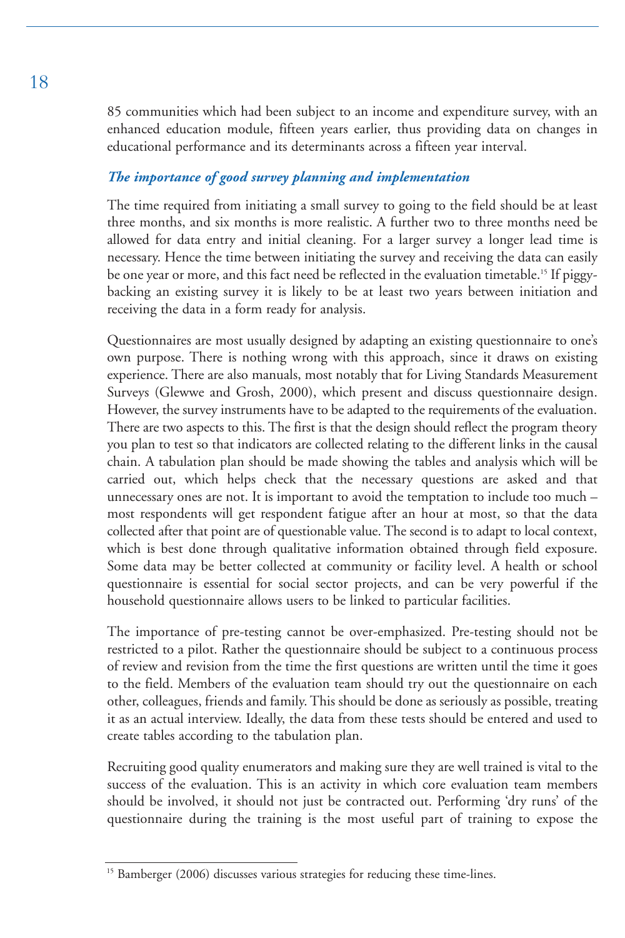85 communities which had been subject to an income and expenditure survey, with an enhanced education module, fifteen years earlier, thus providing data on changes in educational performance and its determinants across a fifteen year interval.

### *The importance of good survey planning and implementation*

The time required from initiating a small survey to going to the field should be at least three months, and six months is more realistic. A further two to three months need be allowed for data entry and initial cleaning. For a larger survey a longer lead time is necessary. Hence the time between initiating the survey and receiving the data can easily be one year or more, and this fact need be reflected in the evaluation timetable.<sup>15</sup> If piggybacking an existing survey it is likely to be at least two years between initiation and receiving the data in a form ready for analysis.

Questionnaires are most usually designed by adapting an existing questionnaire to one's own purpose. There is nothing wrong with this approach, since it draws on existing experience. There are also manuals, most notably that for Living Standards Measurement Surveys (Glewwe and Grosh, 2000), which present and discuss questionnaire design. However, the survey instruments have to be adapted to the requirements of the evaluation. There are two aspects to this. The first is that the design should reflect the program theory you plan to test so that indicators are collected relating to the different links in the causal chain. A tabulation plan should be made showing the tables and analysis which will be carried out, which helps check that the necessary questions are asked and that unnecessary ones are not. It is important to avoid the temptation to include too much – most respondents will get respondent fatigue after an hour at most, so that the data collected after that point are of questionable value. The second is to adapt to local context, which is best done through qualitative information obtained through field exposure. Some data may be better collected at community or facility level. A health or school questionnaire is essential for social sector projects, and can be very powerful if the household questionnaire allows users to be linked to particular facilities.

The importance of pre-testing cannot be over-emphasized. Pre-testing should not be restricted to a pilot. Rather the questionnaire should be subject to a continuous process of review and revision from the time the first questions are written until the time it goes to the field. Members of the evaluation team should try out the questionnaire on each other, colleagues, friends and family. This should be done as seriously as possible, treating it as an actual interview. Ideally, the data from these tests should be entered and used to create tables according to the tabulation plan.

Recruiting good quality enumerators and making sure they are well trained is vital to the success of the evaluation. This is an activity in which core evaluation team members should be involved, it should not just be contracted out. Performing 'dry runs' of the questionnaire during the training is the most useful part of training to expose the

<sup>&</sup>lt;sup>15</sup> Bamberger (2006) discusses various strategies for reducing these time-lines.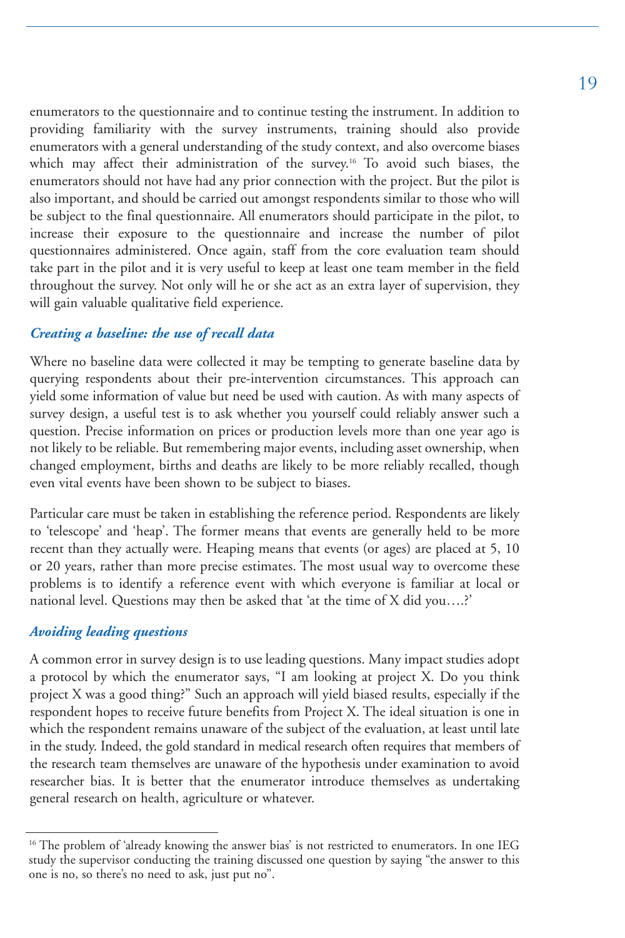enumerators to the questionnaire and to continue testing the instrument. In addition to providing familiarity with the survey instruments, training should also provide enumerators with a general understanding of the study context, and also overcome biases which may affect their administration of the survey.<sup>16</sup> To avoid such biases, the enumerators should not have had any prior connection with the project. But the pilot is also important, and should be carried out amongst respondents similar to those who will be subject to the final questionnaire. All enumerators should participate in the pilot, to increase their exposure to the questionnaire and increase the number of pilot questionnaires administered. Once again, staff from the core evaluation team should take part in the pilot and it is very useful to keep at least one team member in the field throughout the survey. Not only will he or she act as an extra layer of supervision, they will gain valuable qualitative field experience.

### *Creating a baseline: the use of recall data*

Where no baseline data were collected it may be tempting to generate baseline data by querying respondents about their pre-intervention circumstances. This approach can yield some information of value but need be used with caution. As with many aspects of survey design, a useful test is to ask whether you yourself could reliably answer such a question. Precise information on prices or production levels more than one year ago is not likely to be reliable. But remembering major events, including asset ownership, when changed employment, births and deaths are likely to be more reliably recalled, though even vital events have been shown to be subject to biases.

Particular care must be taken in establishing the reference period. Respondents are likely to 'telescope' and 'heap'. The former means that events are generally held to be more recent than they actually were. Heaping means that events (or ages) are placed at 5, 10 or 20 years, rather than more precise estimates. The most usual way to overcome these problems is to identify a reference event with which everyone is familiar at local or national level. Questions may then be asked that 'at the time of X did you….?'

### *Avoiding leading questions*

A common error in survey design is to use leading questions. Many impact studies adopt a protocol by which the enumerator says, "I am looking at project X. Do you think project X was a good thing?" Such an approach will yield biased results, especially if the respondent hopes to receive future benefits from Project X. The ideal situation is one in which the respondent remains unaware of the subject of the evaluation, at least until late in the study. Indeed, the gold standard in medical research often requires that members of the research team themselves are unaware of the hypothesis under examination to avoid researcher bias. It is better that the enumerator introduce themselves as undertaking general research on health, agriculture or whatever.

<sup>&</sup>lt;sup>16</sup> The problem of 'already knowing the answer bias' is not restricted to enumerators. In one IEG study the supervisor conducting the training discussed one question by saying "the answer to this one is no, so there's no need to ask, just put no".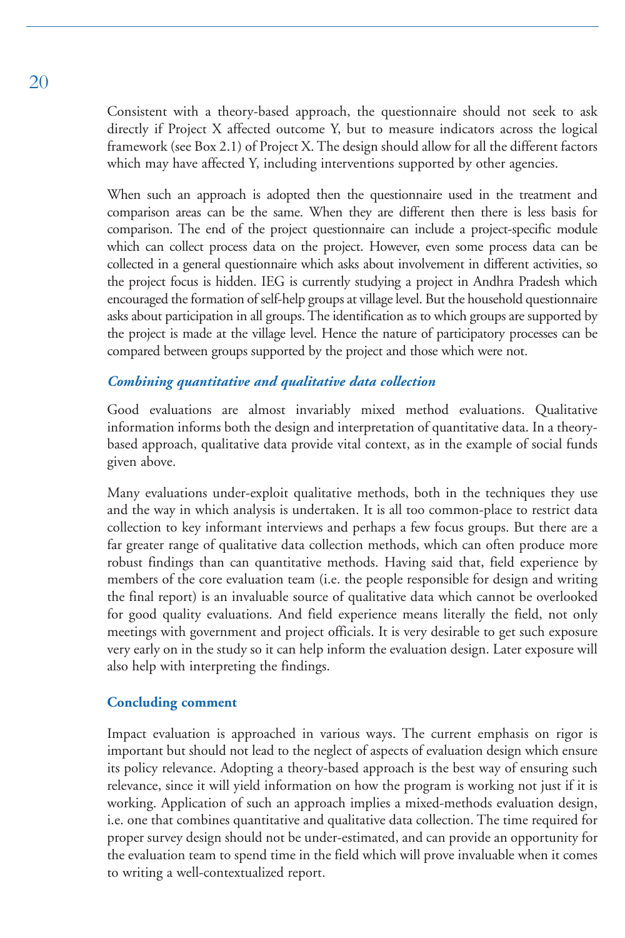Consistent with a theory-based approach, the questionnaire should not seek to ask directly if Project X affected outcome Y, but to measure indicators across the logical framework (see Box 2.1) of Project X. The design should allow for all the different factors which may have affected Y, including interventions supported by other agencies.

When such an approach is adopted then the questionnaire used in the treatment and comparison areas can be the same. When they are different then there is less basis for comparison. The end of the project questionnaire can include a project-specific module which can collect process data on the project. However, even some process data can be collected in a general questionnaire which asks about involvement in different activities, so the project focus is hidden. IEG is currently studying a project in Andhra Pradesh which encouraged the formation of self-help groups at village level. But the household questionnaire asks about participation in all groups. The identification as to which groups are supported by the project is made at the village level. Hence the nature of participatory processes can be compared between groups supported by the project and those which were not.

### *Combining quantitative and qualitative data collection*

Good evaluations are almost invariably mixed method evaluations. Qualitative information informs both the design and interpretation of quantitative data. In a theorybased approach, qualitative data provide vital context, as in the example of social funds given above.

Many evaluations under-exploit qualitative methods, both in the techniques they use and the way in which analysis is undertaken. It is all too common-place to restrict data collection to key informant interviews and perhaps a few focus groups. But there are a far greater range of qualitative data collection methods, which can often produce more robust findings than can quantitative methods. Having said that, field experience by members of the core evaluation team (i.e. the people responsible for design and writing the final report) is an invaluable source of qualitative data which cannot be overlooked for good quality evaluations. And field experience means literally the field, not only meetings with government and project officials. It is very desirable to get such exposure very early on in the study so it can help inform the evaluation design. Later exposure will also help with interpreting the findings.

### **Concluding comment**

Impact evaluation is approached in various ways. The current emphasis on rigor is important but should not lead to the neglect of aspects of evaluation design which ensure its policy relevance. Adopting a theory-based approach is the best way of ensuring such relevance, since it will yield information on how the program is working not just if it is working. Application of such an approach implies a mixed-methods evaluation design, i.e. one that combines quantitative and qualitative data collection. The time required for proper survey design should not be under-estimated, and can provide an opportunity for the evaluation team to spend time in the field which will prove invaluable when it comes to writing a well-contextualized report.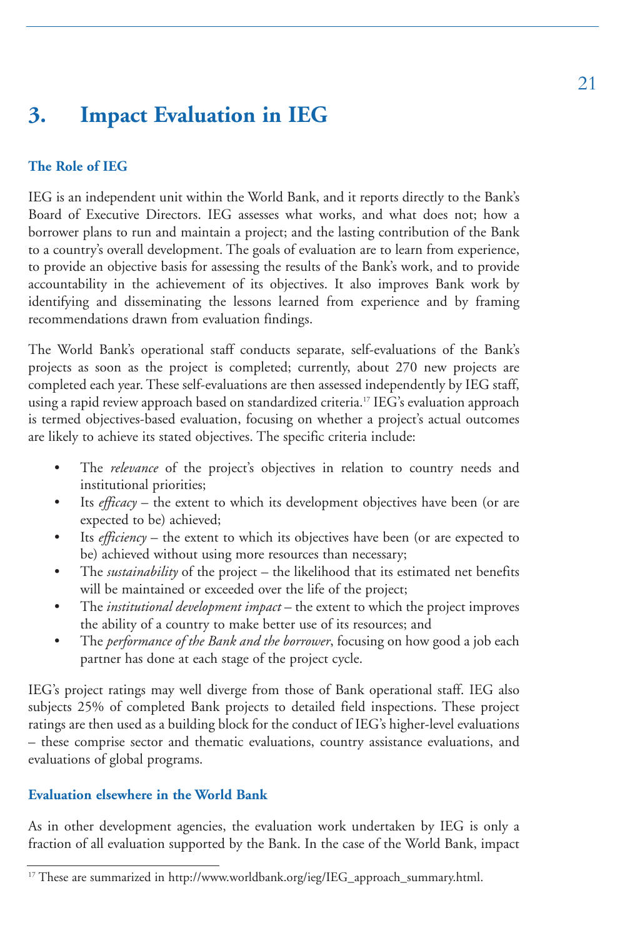### **3. Impact Evaluation in IEG**

### **The Role of IEG**

IEG is an independent unit within the World Bank, and it reports directly to the Bank's Board of Executive Directors. IEG assesses what works, and what does not; how a borrower plans to run and maintain a project; and the lasting contribution of the Bank to a country's overall development. The goals of evaluation are to learn from experience, to provide an objective basis for assessing the results of the Bank's work, and to provide accountability in the achievement of its objectives. It also improves Bank work by identifying and disseminating the lessons learned from experience and by framing recommendations drawn from evaluation findings.

The World Bank's operational staff conducts separate, self-evaluations of the Bank's projects as soon as the project is completed; currently, about 270 new projects are completed each year. These self-evaluations are then assessed independently by IEG staff, using a rapid review approach based on standardized criteria.<sup>17</sup> IEG's evaluation approach is termed objectives-based evaluation, focusing on whether a project's actual outcomes are likely to achieve its stated objectives. The specific criteria include:

- The *relevance* of the project's objectives in relation to country needs and institutional priorities;
- Its *efficacy* the extent to which its development objectives have been (or are expected to be) achieved;
- Its *efficiency* the extent to which its objectives have been (or are expected to be) achieved without using more resources than necessary;
- The *sustainability* of the project the likelihood that its estimated net benefits will be maintained or exceeded over the life of the project;
- The *institutional development impact* the extent to which the project improves the ability of a country to make better use of its resources; and
- The *performance of the Bank and the borrower*, focusing on how good a job each partner has done at each stage of the project cycle.

IEG's project ratings may well diverge from those of Bank operational staff. IEG also subjects 25% of completed Bank projects to detailed field inspections. These project ratings are then used as a building block for the conduct of IEG's higher-level evaluations – these comprise sector and thematic evaluations, country assistance evaluations, and evaluations of global programs.

### **Evaluation elsewhere in the World Bank**

As in other development agencies, the evaluation work undertaken by IEG is only a fraction of all evaluation supported by the Bank. In the case of the World Bank, impact

<sup>&</sup>lt;sup>17</sup> These are summarized in http://www.worldbank.org/ieg/IEG\_approach\_summary.html.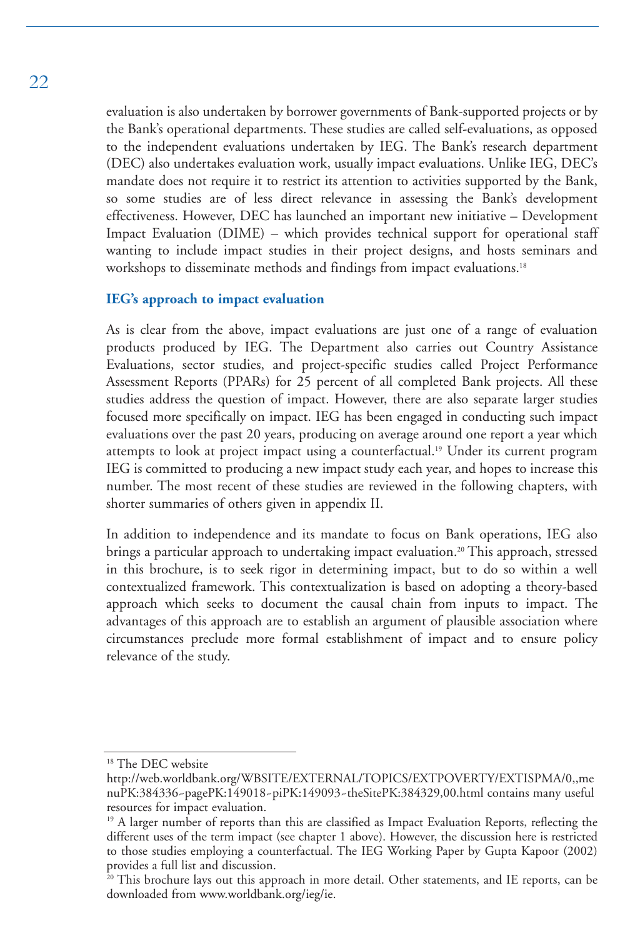evaluation is also undertaken by borrower governments of Bank-supported projects or by the Bank's operational departments. These studies are called self-evaluations, as opposed to the independent evaluations undertaken by IEG. The Bank's research department (DEC) also undertakes evaluation work, usually impact evaluations. Unlike IEG, DEC's mandate does not require it to restrict its attention to activities supported by the Bank, so some studies are of less direct relevance in assessing the Bank's development effectiveness. However, DEC has launched an important new initiative – Development Impact Evaluation (DIME) – which provides technical support for operational staff wanting to include impact studies in their project designs, and hosts seminars and workshops to disseminate methods and findings from impact evaluations.<sup>18</sup>

### **IEG's approach to impact evaluation**

As is clear from the above, impact evaluations are just one of a range of evaluation products produced by IEG. The Department also carries out Country Assistance Evaluations, sector studies, and project-specific studies called Project Performance Assessment Reports (PPARs) for 25 percent of all completed Bank projects. All these studies address the question of impact. However, there are also separate larger studies focused more specifically on impact. IEG has been engaged in conducting such impact evaluations over the past 20 years, producing on average around one report a year which attempts to look at project impact using a counterfactual.<sup>19</sup> Under its current program IEG is committed to producing a new impact study each year, and hopes to increase this number. The most recent of these studies are reviewed in the following chapters, with shorter summaries of others given in appendix II.

In addition to independence and its mandate to focus on Bank operations, IEG also brings a particular approach to undertaking impact evaluation.<sup>20</sup> This approach, stressed in this brochure, is to seek rigor in determining impact, but to do so within a well contextualized framework. This contextualization is based on adopting a theory-based approach which seeks to document the causal chain from inputs to impact. The advantages of this approach are to establish an argument of plausible association where circumstances preclude more formal establishment of impact and to ensure policy relevance of the study.

<sup>&</sup>lt;sup>18</sup> The DEC website

http://web.worldbank.org/WBSITE/EXTERNAL/TOPICS/EXTPOVERTY/EXTISPMA/0,,me nuPK:384336~pagePK:149018~piPK:149093~theSitePK:384329,00.html contains many useful resources for impact evaluation.

<sup>&</sup>lt;sup>19</sup> A larger number of reports than this are classified as Impact Evaluation Reports, reflecting the different uses of the term impact (see chapter 1 above). However, the discussion here is restricted to those studies employing a counterfactual. The IEG Working Paper by Gupta Kapoor (2002)

 $\frac{20}{10}$  This brochure lays out this approach in more detail. Other statements, and IE reports, can be downloaded from www.worldbank.org/ieg/ie.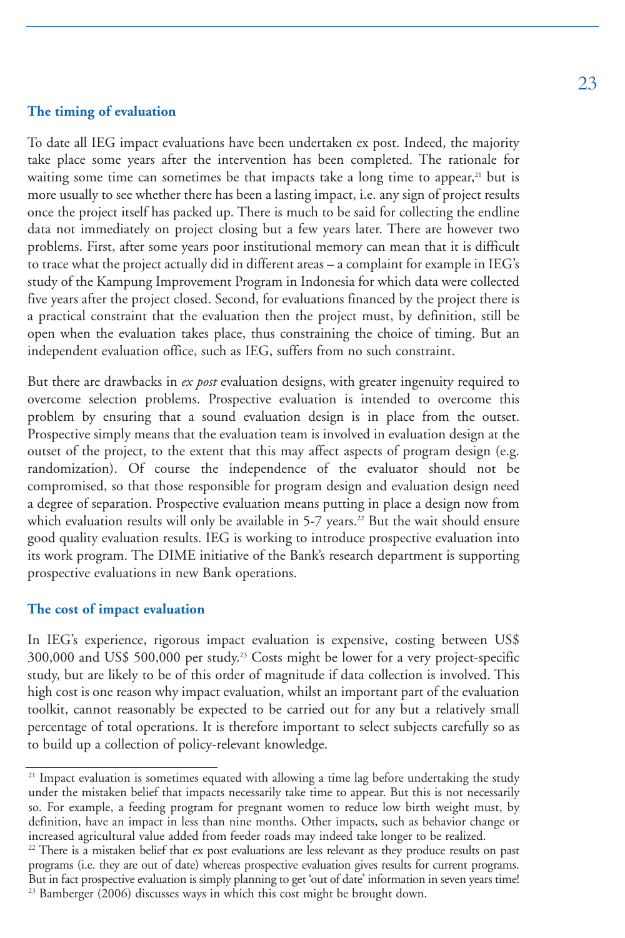### **The timing of evaluation**

To date all IEG impact evaluations have been undertaken ex post. Indeed, the majority take place some years after the intervention has been completed. The rationale for waiting some time can sometimes be that impacts take a long time to appear, $21$  but is more usually to see whether there has been a lasting impact, i.e. any sign of project results once the project itself has packed up. There is much to be said for collecting the endline data not immediately on project closing but a few years later. There are however two problems. First, after some years poor institutional memory can mean that it is difficult to trace what the project actually did in different areas – a complaint for example in IEG's study of the Kampung Improvement Program in Indonesia for which data were collected five years after the project closed. Second, for evaluations financed by the project there is a practical constraint that the evaluation then the project must, by definition, still be open when the evaluation takes place, thus constraining the choice of timing. But an independent evaluation office, such as IEG, suffers from no such constraint.

But there are drawbacks in *ex post* evaluation designs, with greater ingenuity required to overcome selection problems. Prospective evaluation is intended to overcome this problem by ensuring that a sound evaluation design is in place from the outset. Prospective simply means that the evaluation team is involved in evaluation design at the outset of the project, to the extent that this may affect aspects of program design (e.g. randomization). Of course the independence of the evaluator should not be compromised, so that those responsible for program design and evaluation design need a degree of separation. Prospective evaluation means putting in place a design now from which evaluation results will only be available in 5-7 years.<sup>22</sup> But the wait should ensure good quality evaluation results. IEG is working to introduce prospective evaluation into its work program. The DIME initiative of the Bank's research department is supporting prospective evaluations in new Bank operations.

### **The cost of impact evaluation**

In IEG's experience, rigorous impact evaluation is expensive, costing between US\$ 300,000 and US\$ 500,000 per study.23 Costs might be lower for a very project-specific study, but are likely to be of this order of magnitude if data collection is involved. This high cost is one reason why impact evaluation, whilst an important part of the evaluation toolkit, cannot reasonably be expected to be carried out for any but a relatively small percentage of total operations. It is therefore important to select subjects carefully so as to build up a collection of policy-relevant knowledge.

 $21$  Impact evaluation is sometimes equated with allowing a time lag before undertaking the study under the mistaken belief that impacts necessarily take time to appear. But this is not necessarily so. For example, a feeding program for pregnant women to reduce low birth weight must, by definition, have an impact in less than nine months. Other impacts, such as behavior change or increased agricultural value added from feeder roads may indeed take longer to be realized.

<sup>&</sup>lt;sup>22</sup> There is a mistaken belief that ex post evaluations are less relevant as they produce results on past programs (i.e. they are out of date) whereas prospective evaluation gives results for current programs. But in fact prospective evaluation is simply planning to get 'out of date' information in seven years time! <sup>23</sup> Bamberger (2006) discusses ways in which this cost might be brought down.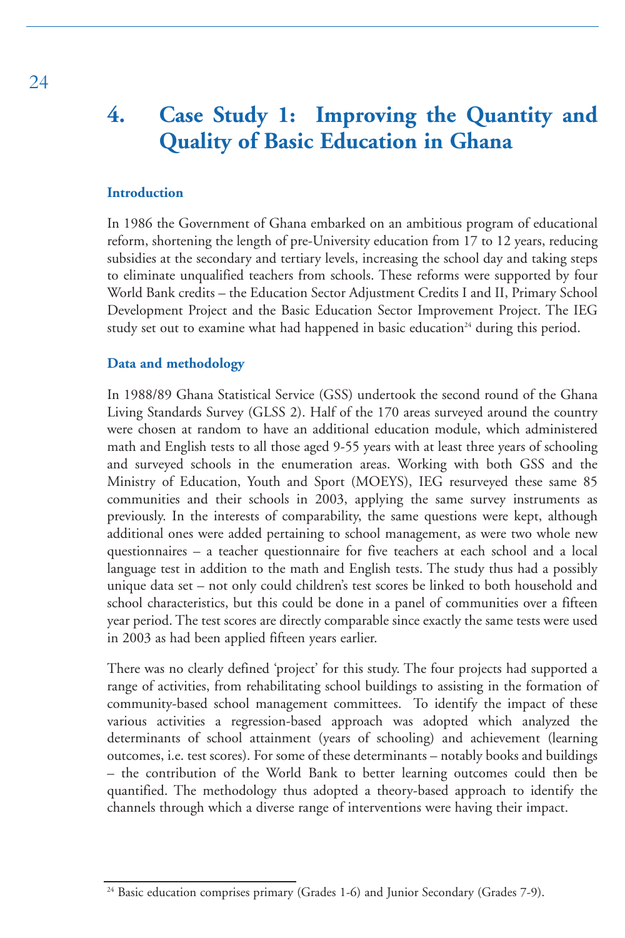### **4. Case Study 1: Improving the Quantity and Quality of Basic Education in Ghana**

### **Introduction**

In 1986 the Government of Ghana embarked on an ambitious program of educational reform, shortening the length of pre-University education from 17 to 12 years, reducing subsidies at the secondary and tertiary levels, increasing the school day and taking steps to eliminate unqualified teachers from schools. These reforms were supported by four World Bank credits – the Education Sector Adjustment Credits I and II, Primary School Development Project and the Basic Education Sector Improvement Project. The IEG study set out to examine what had happened in basic education<sup>24</sup> during this period.

### **Data and methodology**

In 1988/89 Ghana Statistical Service (GSS) undertook the second round of the Ghana Living Standards Survey (GLSS 2). Half of the 170 areas surveyed around the country were chosen at random to have an additional education module, which administered math and English tests to all those aged 9-55 years with at least three years of schooling and surveyed schools in the enumeration areas. Working with both GSS and the Ministry of Education, Youth and Sport (MOEYS), IEG resurveyed these same 85 communities and their schools in 2003, applying the same survey instruments as previously. In the interests of comparability, the same questions were kept, although additional ones were added pertaining to school management, as were two whole new questionnaires – a teacher questionnaire for five teachers at each school and a local language test in addition to the math and English tests. The study thus had a possibly unique data set – not only could children's test scores be linked to both household and school characteristics, but this could be done in a panel of communities over a fifteen year period. The test scores are directly comparable since exactly the same tests were used in 2003 as had been applied fifteen years earlier.

There was no clearly defined 'project' for this study. The four projects had supported a range of activities, from rehabilitating school buildings to assisting in the formation of community-based school management committees. To identify the impact of these various activities a regression-based approach was adopted which analyzed the determinants of school attainment (years of schooling) and achievement (learning outcomes, i.e. test scores). For some of these determinants – notably books and buildings – the contribution of the World Bank to better learning outcomes could then be quantified. The methodology thus adopted a theory-based approach to identify the channels through which a diverse range of interventions were having their impact.

<sup>&</sup>lt;sup>24</sup> Basic education comprises primary (Grades 1-6) and Junior Secondary (Grades 7-9).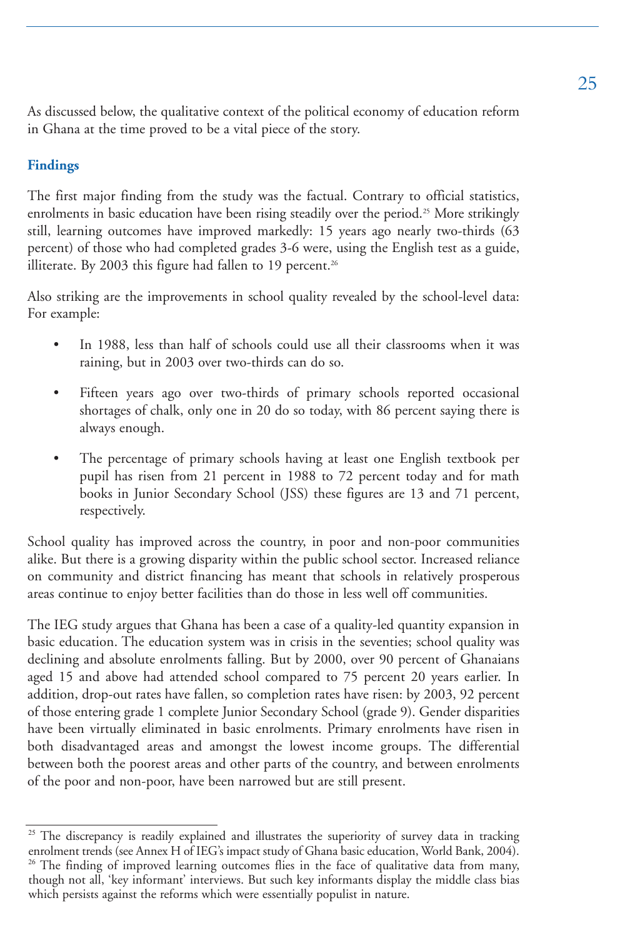As discussed below, the qualitative context of the political economy of education reform in Ghana at the time proved to be a vital piece of the story.

### **Findings**

The first major finding from the study was the factual. Contrary to official statistics, enrolments in basic education have been rising steadily over the period.<sup>25</sup> More strikingly still, learning outcomes have improved markedly: 15 years ago nearly two-thirds (63 percent) of those who had completed grades 3-6 were, using the English test as a guide, illiterate. By 2003 this figure had fallen to 19 percent.<sup>26</sup>

Also striking are the improvements in school quality revealed by the school-level data: For example:

- In 1988, less than half of schools could use all their classrooms when it was raining, but in 2003 over two-thirds can do so.
- Fifteen years ago over two-thirds of primary schools reported occasional shortages of chalk, only one in 20 do so today, with 86 percent saying there is always enough.
- The percentage of primary schools having at least one English textbook per pupil has risen from 21 percent in 1988 to 72 percent today and for math books in Junior Secondary School (JSS) these figures are 13 and 71 percent, respectively.

School quality has improved across the country, in poor and non-poor communities alike. But there is a growing disparity within the public school sector. Increased reliance on community and district financing has meant that schools in relatively prosperous areas continue to enjoy better facilities than do those in less well off communities.

The IEG study argues that Ghana has been a case of a quality-led quantity expansion in basic education. The education system was in crisis in the seventies; school quality was declining and absolute enrolments falling. But by 2000, over 90 percent of Ghanaians aged 15 and above had attended school compared to 75 percent 20 years earlier. In addition, drop-out rates have fallen, so completion rates have risen: by 2003, 92 percent of those entering grade 1 complete Junior Secondary School (grade 9). Gender disparities have been virtually eliminated in basic enrolments. Primary enrolments have risen in both disadvantaged areas and amongst the lowest income groups. The differential between both the poorest areas and other parts of the country, and between enrolments of the poor and non-poor, have been narrowed but are still present.

<sup>&</sup>lt;sup>25</sup> The discrepancy is readily explained and illustrates the superiority of survey data in tracking enrolment trends (see Annex H of IEG's impact study of Ghana basic education, World Bank, 2004).  $^{26}$  The finding of improved learning outcomes flies in the face of qualitative data from many, though not all, 'key informant' interviews. But such key informants display the middle class bias which persists against the reforms which were essentially populist in nature.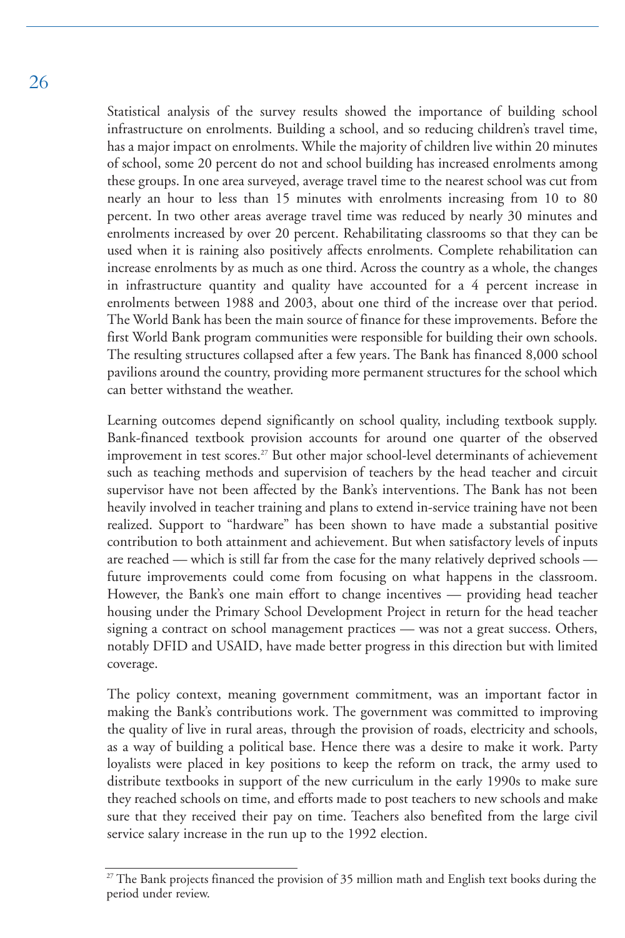Statistical analysis of the survey results showed the importance of building school infrastructure on enrolments. Building a school, and so reducing children's travel time, has a major impact on enrolments. While the majority of children live within 20 minutes of school, some 20 percent do not and school building has increased enrolments among these groups. In one area surveyed, average travel time to the nearest school was cut from nearly an hour to less than 15 minutes with enrolments increasing from 10 to 80 percent. In two other areas average travel time was reduced by nearly 30 minutes and enrolments increased by over 20 percent. Rehabilitating classrooms so that they can be used when it is raining also positively affects enrolments. Complete rehabilitation can increase enrolments by as much as one third. Across the country as a whole, the changes in infrastructure quantity and quality have accounted for a 4 percent increase in enrolments between 1988 and 2003, about one third of the increase over that period. The World Bank has been the main source of finance for these improvements. Before the first World Bank program communities were responsible for building their own schools. The resulting structures collapsed after a few years. The Bank has financed 8,000 school pavilions around the country, providing more permanent structures for the school which can better withstand the weather.

Learning outcomes depend significantly on school quality, including textbook supply. Bank-financed textbook provision accounts for around one quarter of the observed improvement in test scores.27 But other major school-level determinants of achievement such as teaching methods and supervision of teachers by the head teacher and circuit supervisor have not been affected by the Bank's interventions. The Bank has not been heavily involved in teacher training and plans to extend in-service training have not been realized. Support to "hardware" has been shown to have made a substantial positive contribution to both attainment and achievement. But when satisfactory levels of inputs are reached — which is still far from the case for the many relatively deprived schools future improvements could come from focusing on what happens in the classroom. However, the Bank's one main effort to change incentives — providing head teacher housing under the Primary School Development Project in return for the head teacher signing a contract on school management practices — was not a great success. Others, notably DFID and USAID, have made better progress in this direction but with limited coverage.

The policy context, meaning government commitment, was an important factor in making the Bank's contributions work. The government was committed to improving the quality of live in rural areas, through the provision of roads, electricity and schools, as a way of building a political base. Hence there was a desire to make it work. Party loyalists were placed in key positions to keep the reform on track, the army used to distribute textbooks in support of the new curriculum in the early 1990s to make sure they reached schools on time, and efforts made to post teachers to new schools and make sure that they received their pay on time. Teachers also benefited from the large civil service salary increase in the run up to the 1992 election.

<sup>&</sup>lt;sup>27</sup> The Bank projects financed the provision of 35 million math and English text books during the period under review.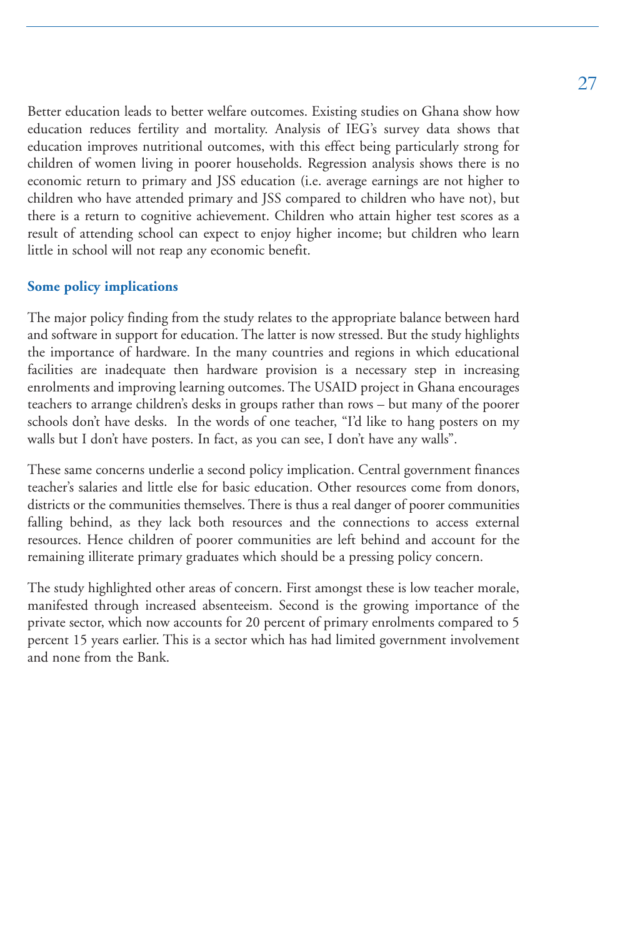Better education leads to better welfare outcomes. Existing studies on Ghana show how education reduces fertility and mortality. Analysis of IEG's survey data shows that education improves nutritional outcomes, with this effect being particularly strong for children of women living in poorer households. Regression analysis shows there is no economic return to primary and JSS education (i.e. average earnings are not higher to children who have attended primary and JSS compared to children who have not), but there is a return to cognitive achievement. Children who attain higher test scores as a result of attending school can expect to enjoy higher income; but children who learn little in school will not reap any economic benefit.

### **Some policy implications**

The major policy finding from the study relates to the appropriate balance between hard and software in support for education. The latter is now stressed. But the study highlights the importance of hardware. In the many countries and regions in which educational facilities are inadequate then hardware provision is a necessary step in increasing enrolments and improving learning outcomes. The USAID project in Ghana encourages teachers to arrange children's desks in groups rather than rows – but many of the poorer schools don't have desks. In the words of one teacher, "I'd like to hang posters on my walls but I don't have posters. In fact, as you can see, I don't have any walls".

These same concerns underlie a second policy implication. Central government finances teacher's salaries and little else for basic education. Other resources come from donors, districts or the communities themselves. There is thus a real danger of poorer communities falling behind, as they lack both resources and the connections to access external resources. Hence children of poorer communities are left behind and account for the remaining illiterate primary graduates which should be a pressing policy concern.

The study highlighted other areas of concern. First amongst these is low teacher morale, manifested through increased absenteeism. Second is the growing importance of the private sector, which now accounts for 20 percent of primary enrolments compared to 5 percent 15 years earlier. This is a sector which has had limited government involvement and none from the Bank.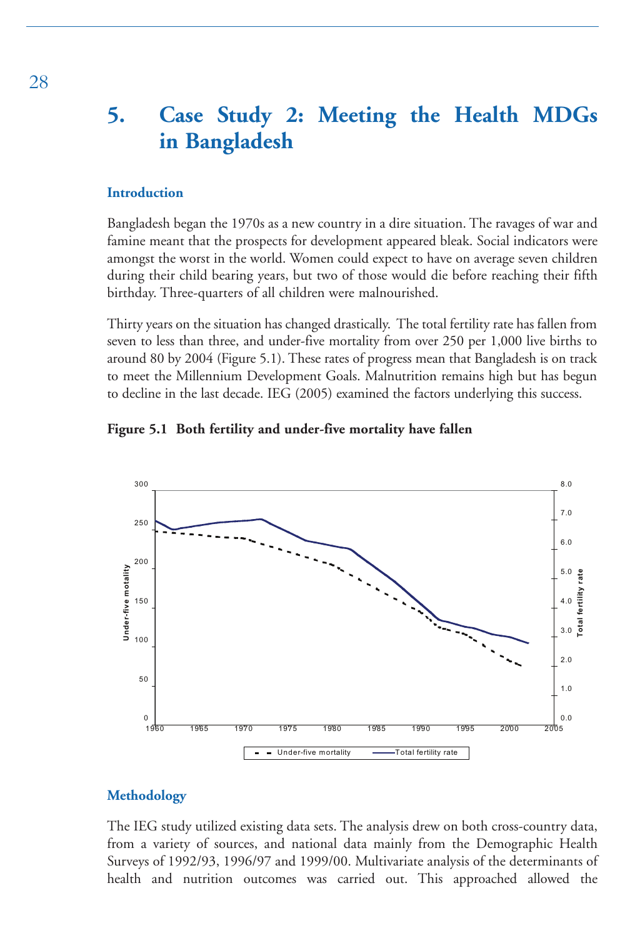### **5. Case Study 2: Meeting the Health MDGs in Bangladesh**

### **Introduction**

Bangladesh began the 1970s as a new country in a dire situation. The ravages of war and famine meant that the prospects for development appeared bleak. Social indicators were amongst the worst in the world. Women could expect to have on average seven children during their child bearing years, but two of those would die before reaching their fifth birthday. Three-quarters of all children were malnourished.

Thirty years on the situation has changed drastically. The total fertility rate has fallen from seven to less than three, and under-five mortality from over 250 per 1,000 live births to around 80 by 2004 (Figure 5.1). These rates of progress mean that Bangladesh is on track to meet the Millennium Development Goals. Malnutrition remains high but has begun to decline in the last decade. IEG (2005) examined the factors underlying this success.

### **Figure 5.1 Both fertility and under-five mortality have fallen**



### **Methodology**

The IEG study utilized existing data sets. The analysis drew on both cross-country data, from a variety of sources, and national data mainly from the Demographic Health Surveys of 1992/93, 1996/97 and 1999/00. Multivariate analysis of the determinants of health and nutrition outcomes was carried out. This approached allowed the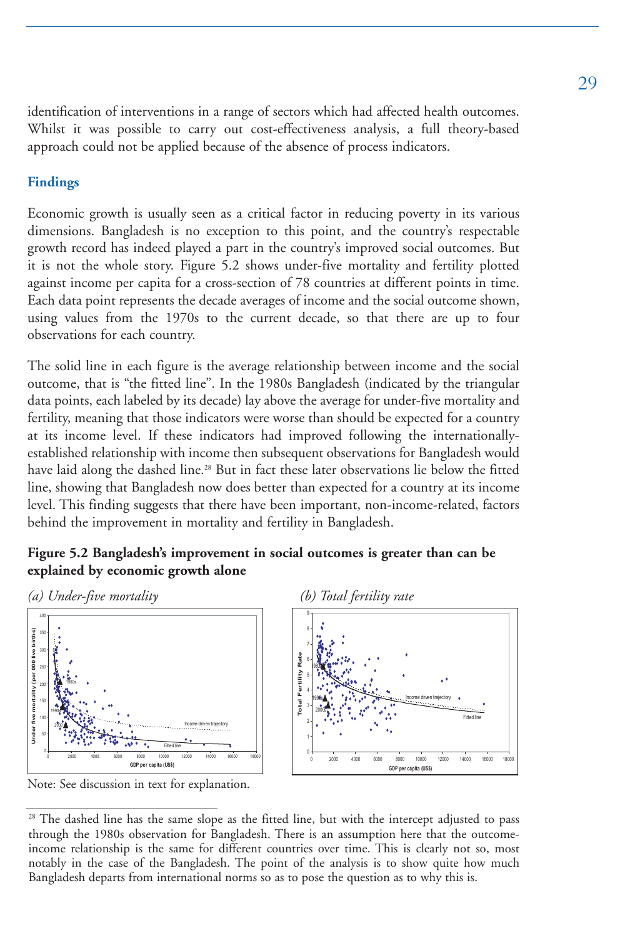identification of interventions in a range of sectors which had affected health outcomes. Whilst it was possible to carry out cost-effectiveness analysis, a full theory-based approach could not be applied because of the absence of process indicators.

### **Findings**

Economic growth is usually seen as a critical factor in reducing poverty in its various dimensions. Bangladesh is no exception to this point, and the country's respectable growth record has indeed played a part in the country's improved social outcomes. But it is not the whole story. Figure 5.2 shows under-five mortality and fertility plotted against income per capita for a cross-section of 78 countries at different points in time. Each data point represents the decade averages of income and the social outcome shown, using values from the 1970s to the current decade, so that there are up to four observations for each country.

The solid line in each figure is the average relationship between income and the social outcome, that is "the fitted line". In the 1980s Bangladesh (indicated by the triangular data points, each labeled by its decade) lay above the average for under-five mortality and fertility, meaning that those indicators were worse than should be expected for a country at its income level. If these indicators had improved following the internationallyestablished relationship with income then subsequent observations for Bangladesh would have laid along the dashed line.<sup>28</sup> But in fact these later observations lie below the fitted line, showing that Bangladesh now does better than expected for a country at its income level. This finding suggests that there have been important, non-income-related, factors behind the improvement in mortality and fertility in Bangladesh.







<sup>&</sup>lt;sup>28</sup> The dashed line has the same slope as the fitted line, but with the intercept adjusted to pass through the 1980s observation for Bangladesh. There is an assumption here that the outcomeincome relationship is the same for different countries over time. This is clearly not so, most notably in the case of the Bangladesh. The point of the analysis is to show quite how much Bangladesh departs from international norms so as to pose the question as to why this is.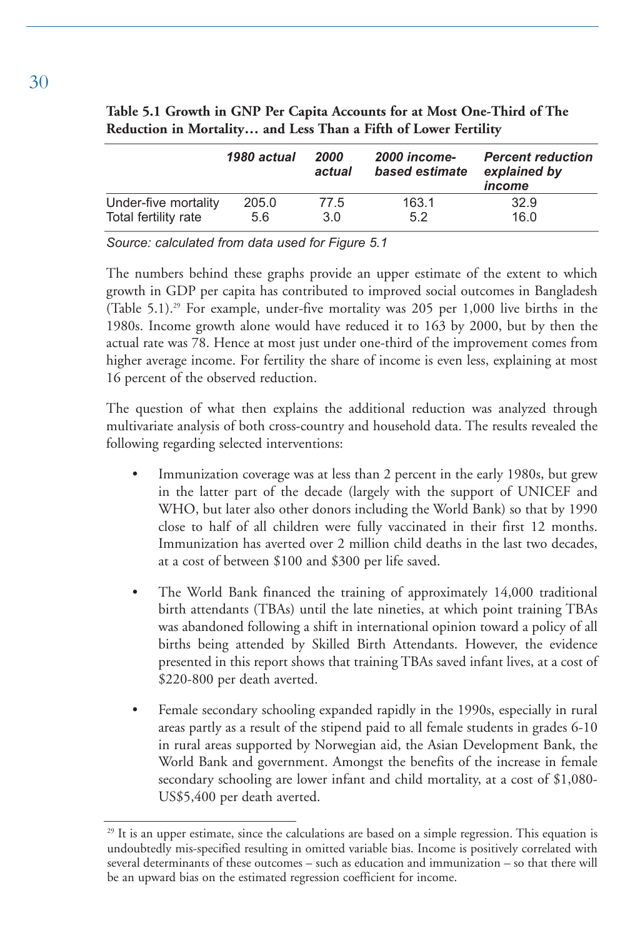|                      | 1980 actual | 2000<br>actual | 2000 income-<br>based estimate | <b>Percent reduction</b><br>explained by<br>income |
|----------------------|-------------|----------------|--------------------------------|----------------------------------------------------|
| Under-five mortality | 205.0       | 77.5           | 163.1                          | 32.9                                               |
| Total fertility rate | 5.6         | 3.0            | 5.2                            | 16.0                                               |

| Table 5.1 Growth in GNP Per Capita Accounts for at Most One-Third of The |
|--------------------------------------------------------------------------|
| Reduction in Mortality and Less Than a Fifth of Lower Fertility          |

*Source: calculated from data used for Figure 5.1*

The numbers behind these graphs provide an upper estimate of the extent to which growth in GDP per capita has contributed to improved social outcomes in Bangladesh (Table 5.1).29 For example, under-five mortality was 205 per 1,000 live births in the 1980s. Income growth alone would have reduced it to 163 by 2000, but by then the actual rate was 78. Hence at most just under one-third of the improvement comes from higher average income. For fertility the share of income is even less, explaining at most 16 percent of the observed reduction.

The question of what then explains the additional reduction was analyzed through multivariate analysis of both cross-country and household data. The results revealed the following regarding selected interventions:

- Immunization coverage was at less than 2 percent in the early 1980s, but grew in the latter part of the decade (largely with the support of UNICEF and WHO, but later also other donors including the World Bank) so that by 1990 close to half of all children were fully vaccinated in their first 12 months. Immunization has averted over 2 million child deaths in the last two decades, at a cost of between \$100 and \$300 per life saved.
- The World Bank financed the training of approximately 14,000 traditional birth attendants (TBAs) until the late nineties, at which point training TBAs was abandoned following a shift in international opinion toward a policy of all births being attended by Skilled Birth Attendants. However, the evidence presented in this report shows that training TBAs saved infant lives, at a cost of \$220-800 per death averted.
- Female secondary schooling expanded rapidly in the 1990s, especially in rural areas partly as a result of the stipend paid to all female students in grades 6-10 in rural areas supported by Norwegian aid, the Asian Development Bank, the World Bank and government. Amongst the benefits of the increase in female secondary schooling are lower infant and child mortality, at a cost of \$1,080- US\$5,400 per death averted.

 $29$  It is an upper estimate, since the calculations are based on a simple regression. This equation is undoubtedly mis-specified resulting in omitted variable bias. Income is positively correlated with several determinants of these outcomes – such as education and immunization – so that there will be an upward bias on the estimated regression coefficient for income.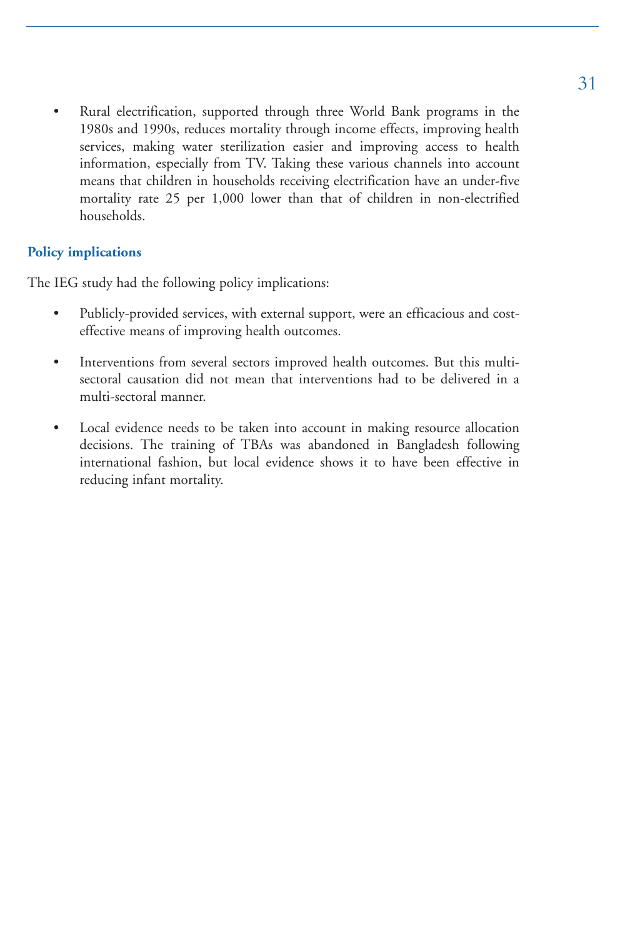• Rural electrification, supported through three World Bank programs in the 1980s and 1990s, reduces mortality through income effects, improving health services, making water sterilization easier and improving access to health information, especially from TV. Taking these various channels into account means that children in households receiving electrification have an under-five mortality rate 25 per 1,000 lower than that of children in non-electrified households.

### **Policy implications**

The IEG study had the following policy implications:

- Publicly-provided services, with external support, were an efficacious and costeffective means of improving health outcomes.
- Interventions from several sectors improved health outcomes. But this multisectoral causation did not mean that interventions had to be delivered in a multi-sectoral manner.
- Local evidence needs to be taken into account in making resource allocation decisions. The training of TBAs was abandoned in Bangladesh following international fashion, but local evidence shows it to have been effective in reducing infant mortality.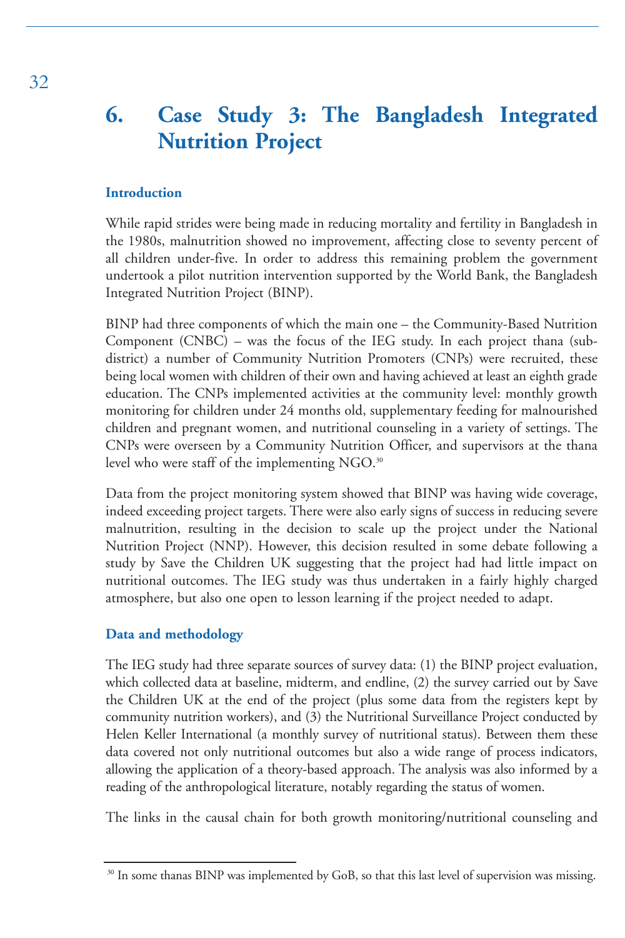### **6. Case Study 3: The Bangladesh Integrated Nutrition Project**

### **Introduction**

While rapid strides were being made in reducing mortality and fertility in Bangladesh in the 1980s, malnutrition showed no improvement, affecting close to seventy percent of all children under-five. In order to address this remaining problem the government undertook a pilot nutrition intervention supported by the World Bank, the Bangladesh Integrated Nutrition Project (BINP).

BINP had three components of which the main one – the Community-Based Nutrition Component (CNBC) – was the focus of the IEG study. In each project thana (subdistrict) a number of Community Nutrition Promoters (CNPs) were recruited, these being local women with children of their own and having achieved at least an eighth grade education. The CNPs implemented activities at the community level: monthly growth monitoring for children under 24 months old, supplementary feeding for malnourished children and pregnant women, and nutritional counseling in a variety of settings. The CNPs were overseen by a Community Nutrition Officer, and supervisors at the thana level who were staff of the implementing NGO.<sup>30</sup>

Data from the project monitoring system showed that BINP was having wide coverage, indeed exceeding project targets. There were also early signs of success in reducing severe malnutrition, resulting in the decision to scale up the project under the National Nutrition Project (NNP). However, this decision resulted in some debate following a study by Save the Children UK suggesting that the project had had little impact on nutritional outcomes. The IEG study was thus undertaken in a fairly highly charged atmosphere, but also one open to lesson learning if the project needed to adapt.

### **Data and methodology**

The IEG study had three separate sources of survey data: (1) the BINP project evaluation, which collected data at baseline, midterm, and endline, (2) the survey carried out by Save the Children UK at the end of the project (plus some data from the registers kept by community nutrition workers), and (3) the Nutritional Surveillance Project conducted by Helen Keller International (a monthly survey of nutritional status). Between them these data covered not only nutritional outcomes but also a wide range of process indicators, allowing the application of a theory-based approach. The analysis was also informed by a reading of the anthropological literature, notably regarding the status of women.

The links in the causal chain for both growth monitoring/nutritional counseling and

<sup>&</sup>lt;sup>30</sup> In some thanas BINP was implemented by GoB, so that this last level of supervision was missing.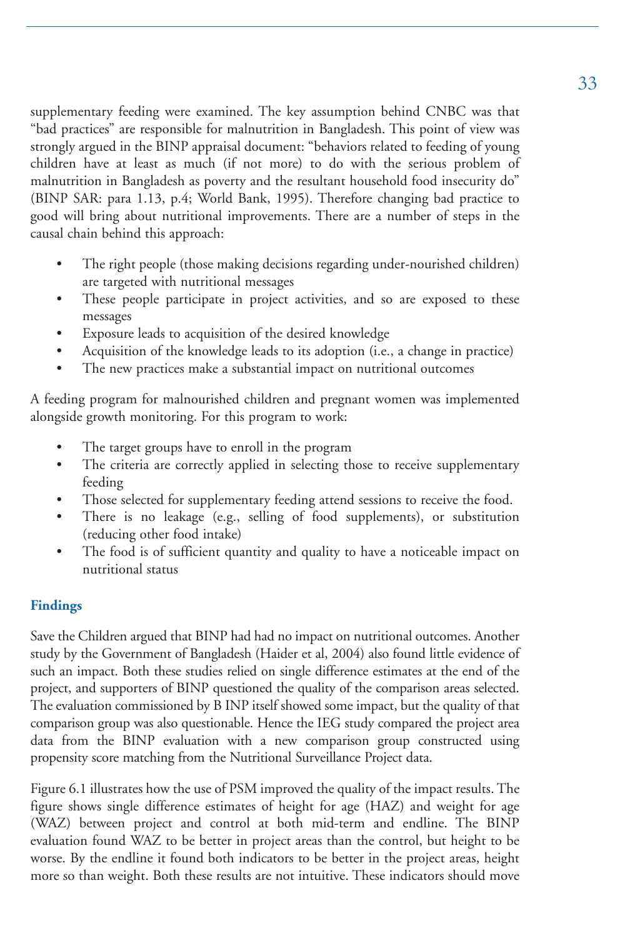supplementary feeding were examined. The key assumption behind CNBC was that "bad practices" are responsible for malnutrition in Bangladesh. This point of view was strongly argued in the BINP appraisal document: "behaviors related to feeding of young children have at least as much (if not more) to do with the serious problem of malnutrition in Bangladesh as poverty and the resultant household food insecurity do" (BINP SAR: para 1.13, p.4; World Bank, 1995). Therefore changing bad practice to good will bring about nutritional improvements. There are a number of steps in the causal chain behind this approach:

- The right people (those making decisions regarding under-nourished children) are targeted with nutritional messages
- These people participate in project activities, and so are exposed to these messages
- Exposure leads to acquisition of the desired knowledge
- Acquisition of the knowledge leads to its adoption (i.e., a change in practice)
- The new practices make a substantial impact on nutritional outcomes

A feeding program for malnourished children and pregnant women was implemented alongside growth monitoring. For this program to work:

- The target groups have to enroll in the program
- The criteria are correctly applied in selecting those to receive supplementary feeding
- Those selected for supplementary feeding attend sessions to receive the food.
- There is no leakage (e.g., selling of food supplements), or substitution (reducing other food intake)
- The food is of sufficient quantity and quality to have a noticeable impact on nutritional status

### **Findings**

Save the Children argued that BINP had had no impact on nutritional outcomes. Another study by the Government of Bangladesh (Haider et al, 2004) also found little evidence of such an impact. Both these studies relied on single difference estimates at the end of the project, and supporters of BINP questioned the quality of the comparison areas selected. The evaluation commissioned by B INP itself showed some impact, but the quality of that comparison group was also questionable. Hence the IEG study compared the project area data from the BINP evaluation with a new comparison group constructed using propensity score matching from the Nutritional Surveillance Project data.

Figure 6.1 illustrates how the use of PSM improved the quality of the impact results. The figure shows single difference estimates of height for age (HAZ) and weight for age (WAZ) between project and control at both mid-term and endline. The BINP evaluation found WAZ to be better in project areas than the control, but height to be worse. By the endline it found both indicators to be better in the project areas, height more so than weight. Both these results are not intuitive. These indicators should move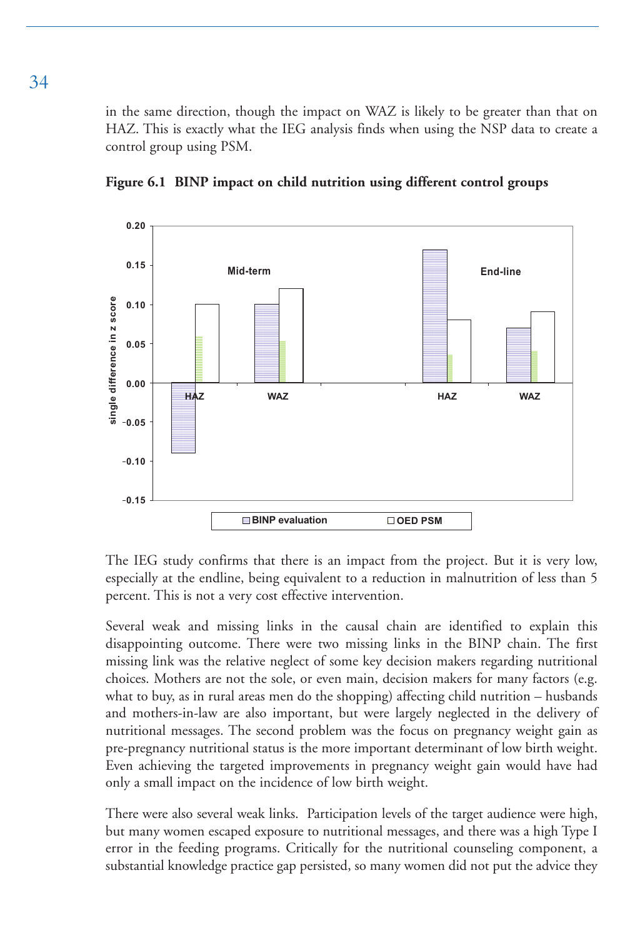in the same direction, though the impact on WAZ is likely to be greater than that on HAZ. This is exactly what the IEG analysis finds when using the NSP data to create a control group using PSM.



**Figure 6.1 BINP impact on child nutrition using different control groups**

The IEG study confirms that there is an impact from the project. But it is very low, especially at the endline, being equivalent to a reduction in malnutrition of less than 5 percent. This is not a very cost effective intervention.

Several weak and missing links in the causal chain are identified to explain this disappointing outcome. There were two missing links in the BINP chain. The first missing link was the relative neglect of some key decision makers regarding nutritional choices. Mothers are not the sole, or even main, decision makers for many factors (e.g. what to buy, as in rural areas men do the shopping) affecting child nutrition – husbands and mothers-in-law are also important, but were largely neglected in the delivery of nutritional messages. The second problem was the focus on pregnancy weight gain as pre-pregnancy nutritional status is the more important determinant of low birth weight. Even achieving the targeted improvements in pregnancy weight gain would have had only a small impact on the incidence of low birth weight.

There were also several weak links. Participation levels of the target audience were high, but many women escaped exposure to nutritional messages, and there was a high Type I error in the feeding programs. Critically for the nutritional counseling component, a substantial knowledge practice gap persisted, so many women did not put the advice they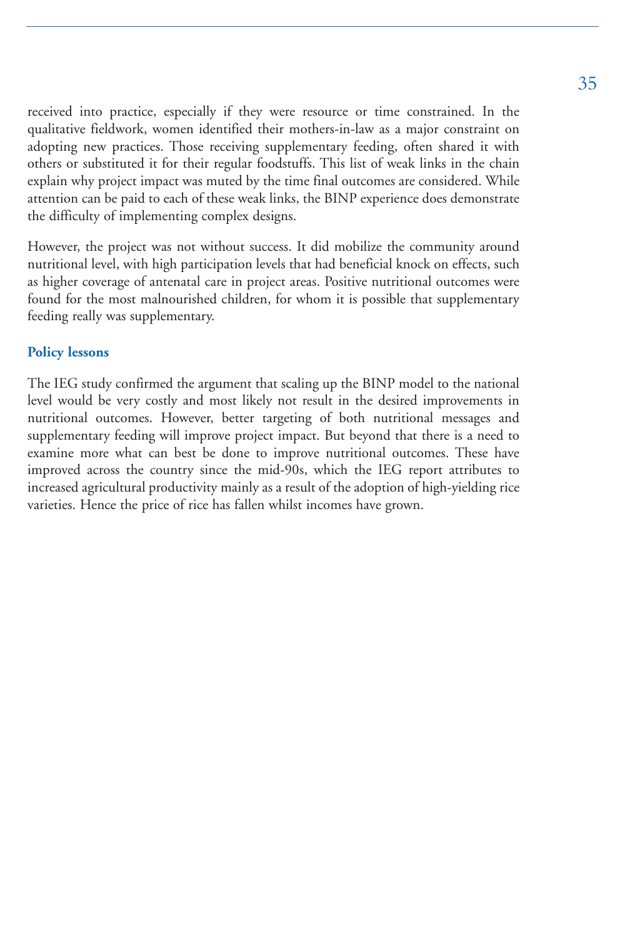received into practice, especially if they were resource or time constrained. In the qualitative fieldwork, women identified their mothers-in-law as a major constraint on adopting new practices. Those receiving supplementary feeding, often shared it with others or substituted it for their regular foodstuffs. This list of weak links in the chain explain why project impact was muted by the time final outcomes are considered. While attention can be paid to each of these weak links, the BINP experience does demonstrate the difficulty of implementing complex designs.

However, the project was not without success. It did mobilize the community around nutritional level, with high participation levels that had beneficial knock on effects, such as higher coverage of antenatal care in project areas. Positive nutritional outcomes were found for the most malnourished children, for whom it is possible that supplementary feeding really was supplementary.

### **Policy lessons**

The IEG study confirmed the argument that scaling up the BINP model to the national level would be very costly and most likely not result in the desired improvements in nutritional outcomes. However, better targeting of both nutritional messages and supplementary feeding will improve project impact. But beyond that there is a need to examine more what can best be done to improve nutritional outcomes. These have improved across the country since the mid-90s, which the IEG report attributes to increased agricultural productivity mainly as a result of the adoption of high-yielding rice varieties. Hence the price of rice has fallen whilst incomes have grown.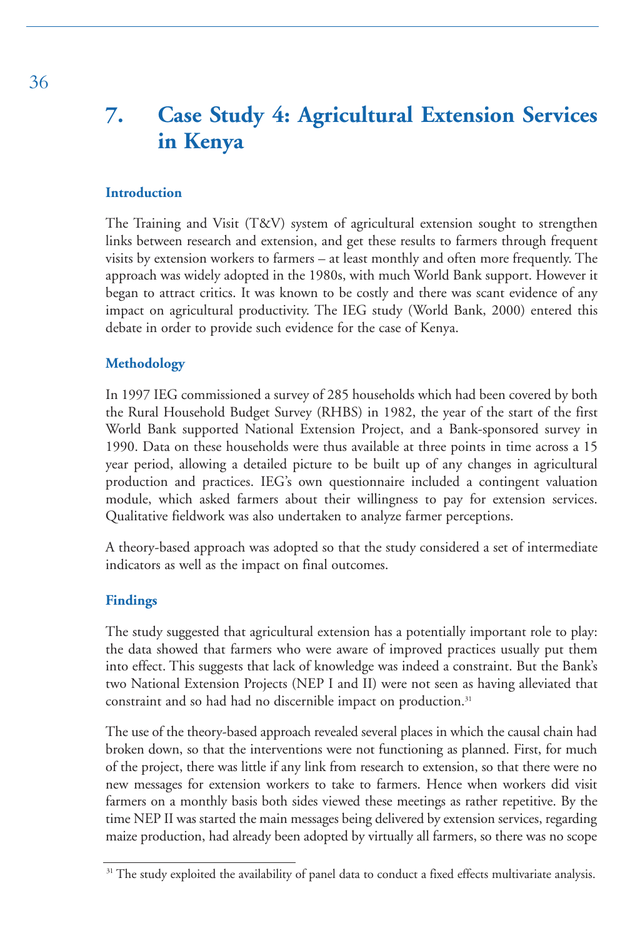### **7. Case Study 4: Agricultural Extension Services in Kenya**

### **Introduction**

The Training and Visit (T&V) system of agricultural extension sought to strengthen links between research and extension, and get these results to farmers through frequent visits by extension workers to farmers – at least monthly and often more frequently. The approach was widely adopted in the 1980s, with much World Bank support. However it began to attract critics. It was known to be costly and there was scant evidence of any impact on agricultural productivity. The IEG study (World Bank, 2000) entered this debate in order to provide such evidence for the case of Kenya.

### **Methodology**

In 1997 IEG commissioned a survey of 285 households which had been covered by both the Rural Household Budget Survey (RHBS) in 1982, the year of the start of the first World Bank supported National Extension Project, and a Bank-sponsored survey in 1990. Data on these households were thus available at three points in time across a 15 year period, allowing a detailed picture to be built up of any changes in agricultural production and practices. IEG's own questionnaire included a contingent valuation module, which asked farmers about their willingness to pay for extension services. Qualitative fieldwork was also undertaken to analyze farmer perceptions.

A theory-based approach was adopted so that the study considered a set of intermediate indicators as well as the impact on final outcomes.

### **Findings**

The study suggested that agricultural extension has a potentially important role to play: the data showed that farmers who were aware of improved practices usually put them into effect. This suggests that lack of knowledge was indeed a constraint. But the Bank's two National Extension Projects (NEP I and II) were not seen as having alleviated that constraint and so had had no discernible impact on production.<sup>31</sup>

The use of the theory-based approach revealed several places in which the causal chain had broken down, so that the interventions were not functioning as planned. First, for much of the project, there was little if any link from research to extension, so that there were no new messages for extension workers to take to farmers. Hence when workers did visit farmers on a monthly basis both sides viewed these meetings as rather repetitive. By the time NEP II was started the main messages being delivered by extension services, regarding maize production, had already been adopted by virtually all farmers, so there was no scope

<sup>&</sup>lt;sup>31</sup> The study exploited the availability of panel data to conduct a fixed effects multivariate analysis.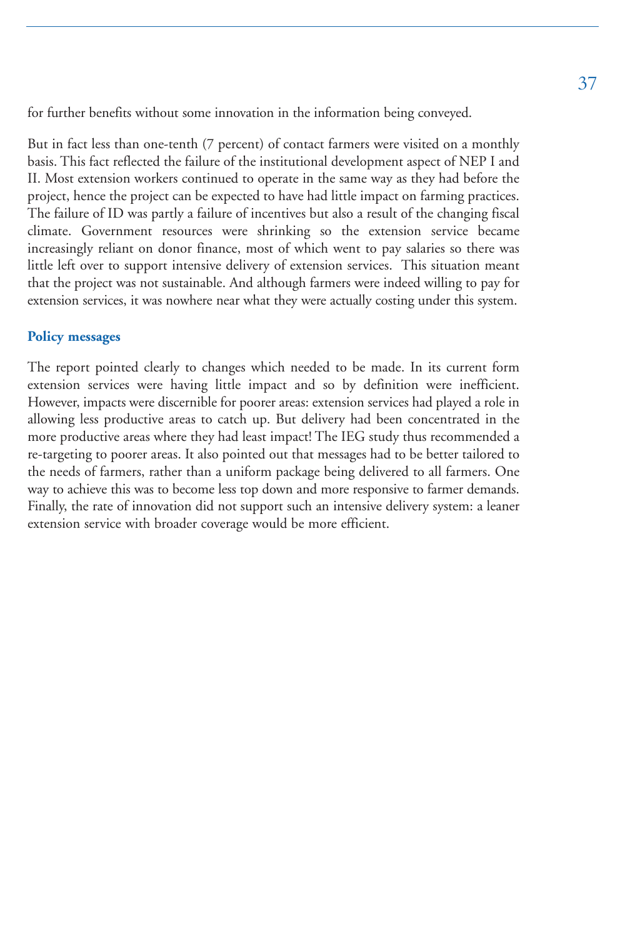for further benefits without some innovation in the information being conveyed.

But in fact less than one-tenth (7 percent) of contact farmers were visited on a monthly basis. This fact reflected the failure of the institutional development aspect of NEP I and II. Most extension workers continued to operate in the same way as they had before the project, hence the project can be expected to have had little impact on farming practices. The failure of ID was partly a failure of incentives but also a result of the changing fiscal climate. Government resources were shrinking so the extension service became increasingly reliant on donor finance, most of which went to pay salaries so there was little left over to support intensive delivery of extension services. This situation meant that the project was not sustainable. And although farmers were indeed willing to pay for extension services, it was nowhere near what they were actually costing under this system.

### **Policy messages**

The report pointed clearly to changes which needed to be made. In its current form extension services were having little impact and so by definition were inefficient. However, impacts were discernible for poorer areas: extension services had played a role in allowing less productive areas to catch up. But delivery had been concentrated in the more productive areas where they had least impact! The IEG study thus recommended a re-targeting to poorer areas. It also pointed out that messages had to be better tailored to the needs of farmers, rather than a uniform package being delivered to all farmers. One way to achieve this was to become less top down and more responsive to farmer demands. Finally, the rate of innovation did not support such an intensive delivery system: a leaner extension service with broader coverage would be more efficient.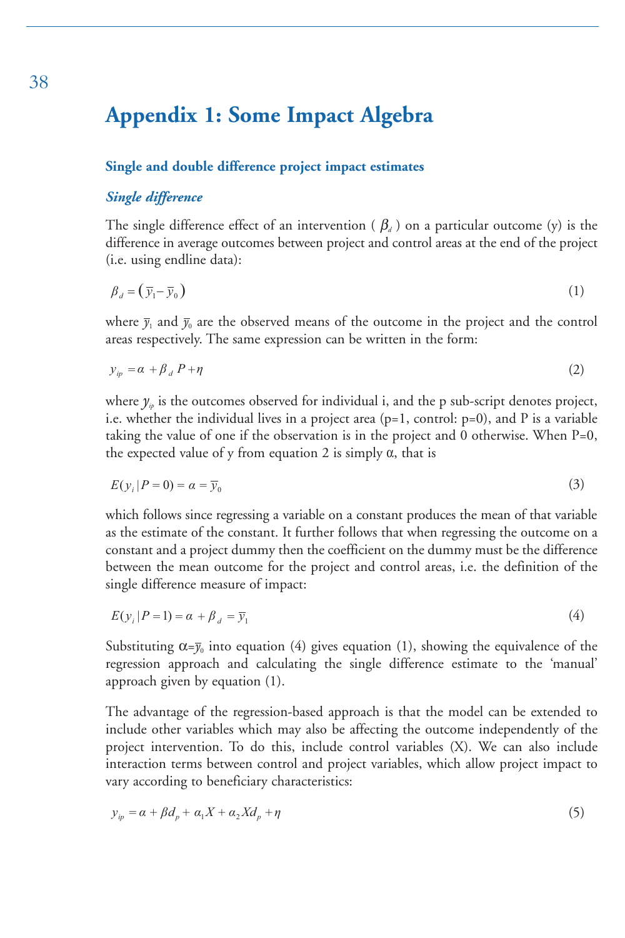### **Appendix 1: Some Impact Algebra**

### **Single and double difference project impact estimates**

#### *Single difference*

The single difference effect of an intervention ( $\beta_d$ ) on a particular outcome (y) is the difference in average outcomes between project and control areas at the end of the project (i.e. using endline data):<br>  $\beta_d = (\bar{y}_1 - \bar{y}_0)$  (1) (i.e. using endline data):

$$
\beta_d = (\bar{y}_1 - \bar{y}_0) \tag{1}
$$

where  $\bar{y}_1$  and  $\bar{y}_0$  are the observed means of the outcome in the project and the control areas respectively. The same expression can be written in the form:

$$
y_{ip} = \alpha + \beta_d P + \eta \tag{2}
$$

where  $y_{ip}$  is the outcomes observed for individual i, and the p sub-script denotes project, i.e. whether the individual lives in a project area  $(p=1, \text{ control: } p=0)$ , and P is a variable taking the value of one if the observation is in the project and 0 otherwise. When  $P=0$ , the expected value of y from equation 2 is simply  $\alpha$ , that is

$$
E(y_i|P=0) = \alpha = \overline{y}_0 \tag{3}
$$

which follows since regressing a variable on a constant produces the mean of that variable as the estimate of the constant. It further follows that when regressing the outcome on a constant and a project dummy then the coefficient on the dummy must be the difference between the mean outcome for the project and control areas, i.e. the definition of the single difference measure of impact:

$$
E(y_i|P=1) = \alpha + \beta_d = \overline{y}_1 \tag{4}
$$

Substituting  $\alpha = \overline{\gamma}_0$  into equation (4) gives equation (1), showing the equivalence of the regression approach and calculating the single difference estimate to the 'manual' approach given by equation (1).

The advantage of the regression-based approach is that the model can be extended to include other variables which may also be affecting the outcome independently of the project intervention. To do this, include control variables (X). We can also include interaction terms between control and project variables, which allow project impact to vary according to beneficiary characteristics:

$$
y_{ip} = \alpha + \beta d_p + \alpha_1 X + \alpha_2 X d_p + \eta \tag{5}
$$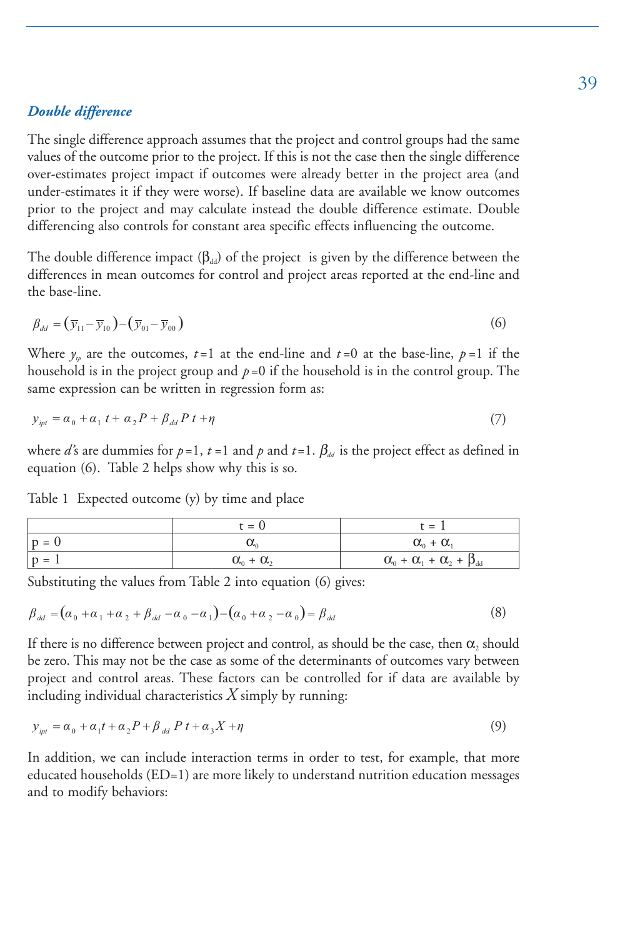### *Double difference*

The single difference approach assumes that the project and control groups had the same values of the outcome prior to the project. If this is not the case then the single difference over-estimates project impact if outcomes were already better in the project area (and under-estimates it if they were worse). If baseline data are available we know outcomes prior to the project and may calculate instead the double difference estimate. Double differencing also controls for constant area specific effects influencing the outcome.

The double difference impact ( $\beta_{dd}$ ) of the project is given by the difference between the differences in mean outcomes for control and project areas reported at the end-line and the base-line. (*i*) ifferencing also controls for<br>  $\Delta E$  ifference impartifference impartifferences in mean outcom<br>  $\beta_{dd} = (\overline{y}_{11} - \overline{y}_{10}) - (\overline{y}_{01} - \overline{y}_{00})$ <br>  $\Delta E$ <br>  $\Delta E$   $\Delta E$   $\Delta E$   $\Delta E$   $\Delta E$   $\Delta E$   $\Delta E$   $\Delta E$ 

$$
\beta_{dd} = (\overline{y}_{11} - \overline{y}_{10}) - (\overline{y}_{01} - \overline{y}_{00})
$$
\n(6)

Where  $y_p$  are the outcomes,  $t=1$  at the end-line and  $t=0$  at the base-line,  $p=1$  if the household is in the project group and  $p=0$  if the household is in the control group. The same expression can be written in regression form as:

$$
y_{\text{ipt}} = \alpha_0 + \alpha_1 t + \alpha_2 P + \beta_{dd} P t + \eta \tag{7}
$$

where *d*'s are dummies for  $p=1$ ,  $t=1$  and  $p$  and  $t=1$ .  $\beta_{dd}$  is the project effect as defined in equation (6). Table 2 helps show why this is so.

|          |                       | $=$                                           |
|----------|-----------------------|-----------------------------------------------|
| $ p = 0$ | ∽                     | $\alpha_0 + \alpha_1$                         |
| $D =$    | $\alpha_0 + \alpha_2$ | $\alpha_0 + \alpha_1 + \alpha_2 + \beta_{dd}$ |

Table 1 Expected outcome (y) by time and place

Substituting the values from Table 2 into equation (6) gives:

$$
\beta_{dd} = (\alpha_0 + \alpha_1 + \alpha_2 + \beta_{dd} - \alpha_0 - \alpha_1) - (\alpha_0 + \alpha_2 - \alpha_0) = \beta_{dd}
$$
\n(8)

If there is no difference between project and control, as should be the case, then  $\alpha_2$  should be zero. This may not be the case as some of the determinants of outcomes vary between project and control areas. These factors can be controlled for if data are available by including individual characteristics *X* simply by running: same expression can be written in regression form as:<br>  $y_{ipl} = \alpha_0 + \alpha_1 t + \alpha_2 P + \beta_{dd} P t + \eta$ <br>
where *d*'s are dummies for  $p = 1$ ,  $t = 1$  and  $p$  and  $t = 1$ .  $\beta_{dd}$ <br>
equation (6). Table 2 helps show why this is so.<br>
Table 1

$$
y_{\text{ipt}} = \alpha_0 + \alpha_1 t + \alpha_2 P + \beta_{dd} P t + \alpha_3 X + \eta \tag{9}
$$

In addition, we can include interaction terms in order to test, for example, that more educated households (ED=1) are more likely to understand nutrition education messages and to modify behaviors: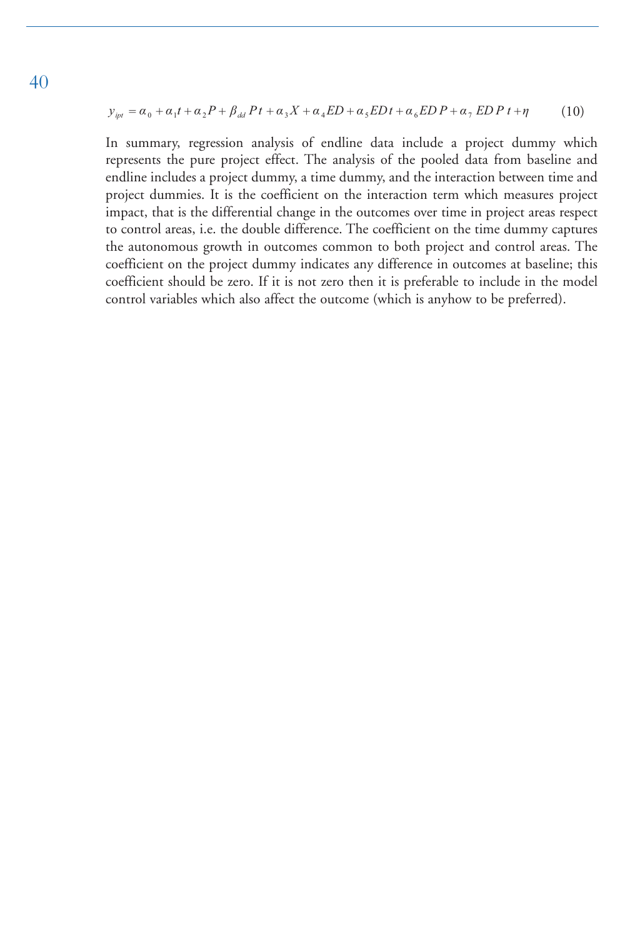$$
y_{\text{int}} = \alpha_0 + \alpha_1 t + \alpha_2 P + \beta_{dd} P t + \alpha_3 X + \alpha_4 ED + \alpha_5 ED t + \alpha_6 ED + \alpha_7 ED t + \eta \tag{10}
$$

In summary, regression analysis of endline data include a project dummy which represents the pure project effect. The analysis of the pooled data from baseline and endline includes a project dummy, a time dummy, and the interaction between time and project dummies. It is the coefficient on the interaction term which measures project impact, that is the differential change in the outcomes over time in project areas respect to control areas, i.e. the double difference. The coefficient on the time dummy captures the autonomous growth in outcomes common to both project and control areas. The coefficient on the project dummy indicates any difference in outcomes at baseline; this coefficient should be zero. If it is not zero then it is preferable to include in the model control variables which also affect the outcome (which is anyhow to be preferred).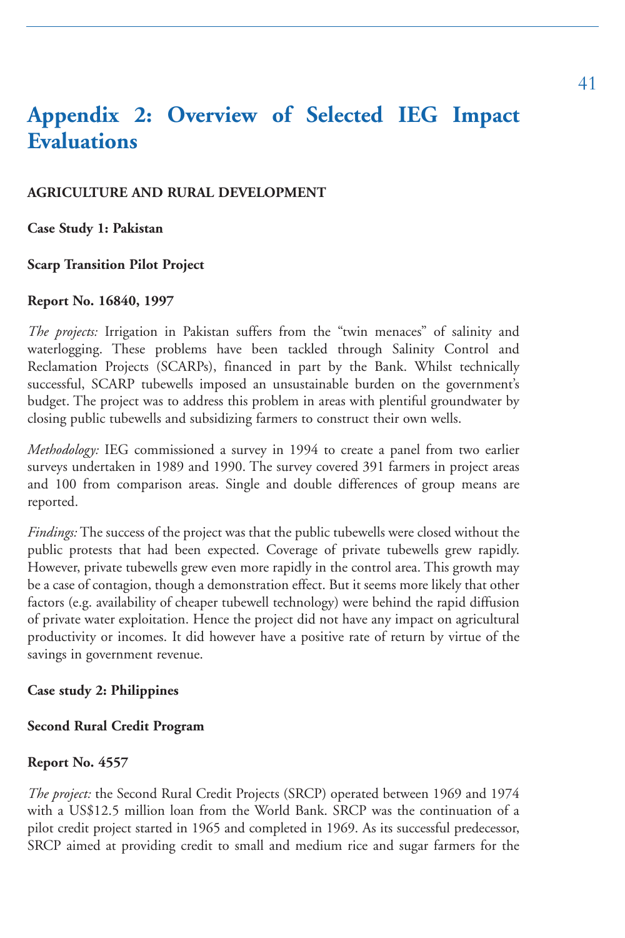### **Appendix 2: Overview of Selected IEG Impact Evaluations**

### **AGRICULTURE AND RURAL DEVELOPMENT**

**Case Study 1: Pakistan**

#### **Scarp Transition Pilot Project**

#### **Report No. 16840, 1997**

*The projects:* Irrigation in Pakistan suffers from the "twin menaces" of salinity and waterlogging. These problems have been tackled through Salinity Control and Reclamation Projects (SCARPs), financed in part by the Bank. Whilst technically successful, SCARP tubewells imposed an unsustainable burden on the government's budget. The project was to address this problem in areas with plentiful groundwater by closing public tubewells and subsidizing farmers to construct their own wells.

*Methodology:* IEG commissioned a survey in 1994 to create a panel from two earlier surveys undertaken in 1989 and 1990. The survey covered 391 farmers in project areas and 100 from comparison areas. Single and double differences of group means are reported.

*Findings:* The success of the project was that the public tubewells were closed without the public protests that had been expected. Coverage of private tubewells grew rapidly. However, private tubewells grew even more rapidly in the control area. This growth may be a case of contagion, though a demonstration effect. But it seems more likely that other factors (e.g. availability of cheaper tubewell technology) were behind the rapid diffusion of private water exploitation. Hence the project did not have any impact on agricultural productivity or incomes. It did however have a positive rate of return by virtue of the savings in government revenue.

#### **Case study 2: Philippines**

#### **Second Rural Credit Program**

#### **Report No. 4557**

*The project:* the Second Rural Credit Projects (SRCP) operated between 1969 and 1974 with a US\$12.5 million loan from the World Bank. SRCP was the continuation of a pilot credit project started in 1965 and completed in 1969. As its successful predecessor, SRCP aimed at providing credit to small and medium rice and sugar farmers for the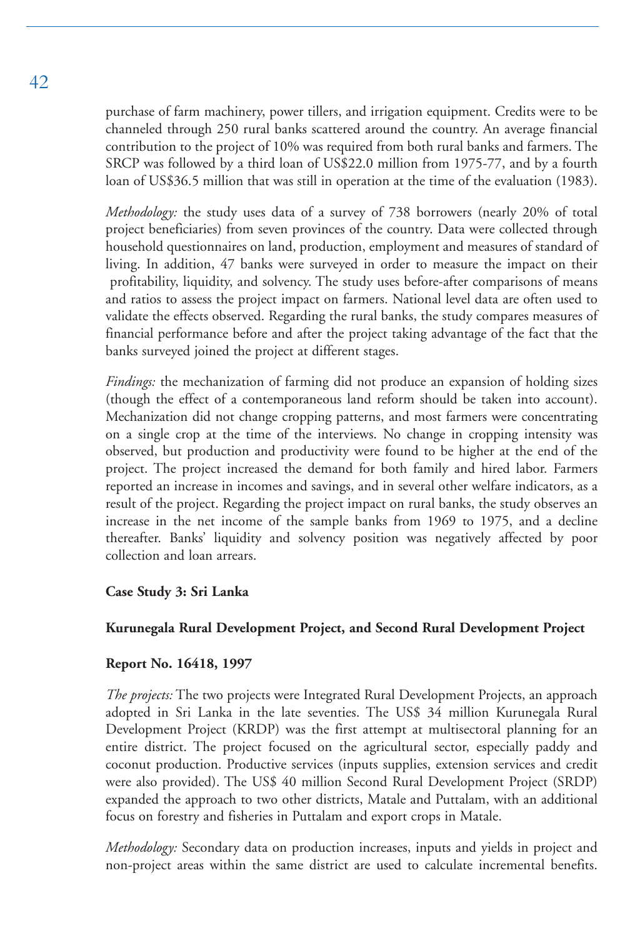purchase of farm machinery, power tillers, and irrigation equipment. Credits were to be channeled through 250 rural banks scattered around the country. An average financial contribution to the project of 10% was required from both rural banks and farmers. The SRCP was followed by a third loan of US\$22.0 million from 1975-77, and by a fourth loan of US\$36.5 million that was still in operation at the time of the evaluation (1983).

*Methodology:* the study uses data of a survey of 738 borrowers (nearly 20% of total project beneficiaries) from seven provinces of the country. Data were collected through household questionnaires on land, production, employment and measures of standard of living. In addition, 47 banks were surveyed in order to measure the impact on their profitability, liquidity, and solvency. The study uses before-after comparisons of means and ratios to assess the project impact on farmers. National level data are often used to validate the effects observed. Regarding the rural banks, the study compares measures of financial performance before and after the project taking advantage of the fact that the banks surveyed joined the project at different stages.

*Findings:* the mechanization of farming did not produce an expansion of holding sizes (though the effect of a contemporaneous land reform should be taken into account). Mechanization did not change cropping patterns, and most farmers were concentrating on a single crop at the time of the interviews. No change in cropping intensity was observed, but production and productivity were found to be higher at the end of the project. The project increased the demand for both family and hired labor. Farmers reported an increase in incomes and savings, and in several other welfare indicators, as a result of the project. Regarding the project impact on rural banks, the study observes an increase in the net income of the sample banks from 1969 to 1975, and a decline thereafter. Banks' liquidity and solvency position was negatively affected by poor collection and loan arrears.

### **Case Study 3: Sri Lanka**

### **Kurunegala Rural Development Project, and Second Rural Development Project**

### **Report No. 16418, 1997**

*The projects:* The two projects were Integrated Rural Development Projects, an approach adopted in Sri Lanka in the late seventies. The US\$ 34 million Kurunegala Rural Development Project (KRDP) was the first attempt at multisectoral planning for an entire district. The project focused on the agricultural sector, especially paddy and coconut production. Productive services (inputs supplies, extension services and credit were also provided). The US\$ 40 million Second Rural Development Project (SRDP) expanded the approach to two other districts, Matale and Puttalam, with an additional focus on forestry and fisheries in Puttalam and export crops in Matale.

*Methodology:* Secondary data on production increases, inputs and yields in project and non-project areas within the same district are used to calculate incremental benefits.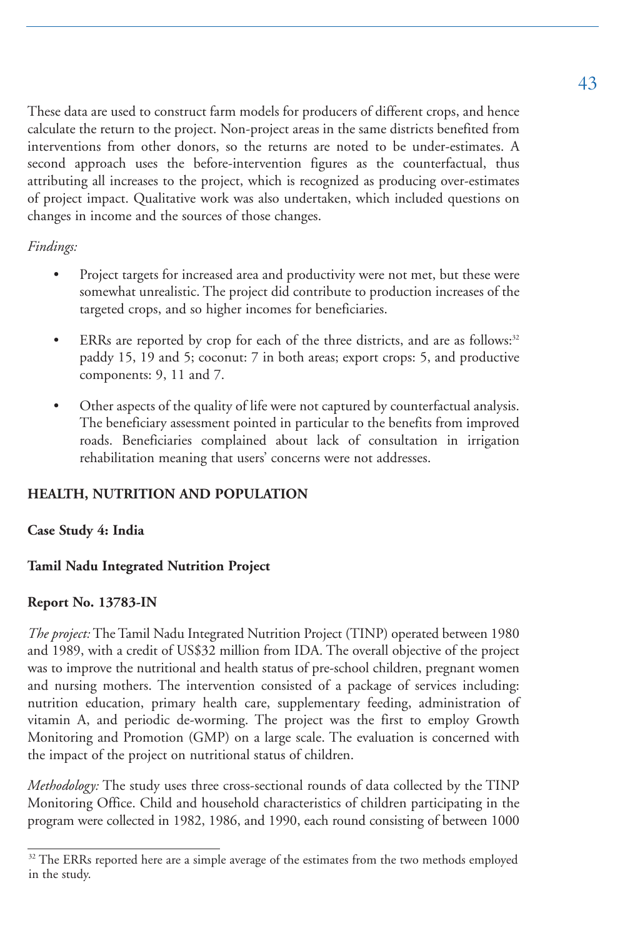These data are used to construct farm models for producers of different crops, and hence calculate the return to the project. Non-project areas in the same districts benefited from interventions from other donors, so the returns are noted to be under-estimates. A second approach uses the before-intervention figures as the counterfactual, thus attributing all increases to the project, which is recognized as producing over-estimates of project impact. Qualitative work was also undertaken, which included questions on changes in income and the sources of those changes.

### *Findings:*

- Project targets for increased area and productivity were not met, but these were somewhat unrealistic. The project did contribute to production increases of the targeted crops, and so higher incomes for beneficiaries.
- ERRs are reported by crop for each of the three districts, and are as follows:<sup>32</sup> paddy 15, 19 and 5; coconut: 7 in both areas; export crops: 5, and productive components: 9, 11 and 7.
- Other aspects of the quality of life were not captured by counterfactual analysis. The beneficiary assessment pointed in particular to the benefits from improved roads. Beneficiaries complained about lack of consultation in irrigation rehabilitation meaning that users' concerns were not addresses.

### **HEALTH, NUTRITION AND POPULATION**

### **Case Study 4: India**

### **Tamil Nadu Integrated Nutrition Project**

### **Report No. 13783-IN**

*The project:* The Tamil Nadu Integrated Nutrition Project (TINP) operated between 1980 and 1989, with a credit of US\$32 million from IDA. The overall objective of the project was to improve the nutritional and health status of pre-school children, pregnant women and nursing mothers. The intervention consisted of a package of services including: nutrition education, primary health care, supplementary feeding, administration of vitamin A, and periodic de-worming. The project was the first to employ Growth Monitoring and Promotion (GMP) on a large scale. The evaluation is concerned with the impact of the project on nutritional status of children.

*Methodology:* The study uses three cross-sectional rounds of data collected by the TINP Monitoring Office. Child and household characteristics of children participating in the program were collected in 1982, 1986, and 1990, each round consisting of between 1000

<sup>&</sup>lt;sup>32</sup> The ERRs reported here are a simple average of the estimates from the two methods employed in the study.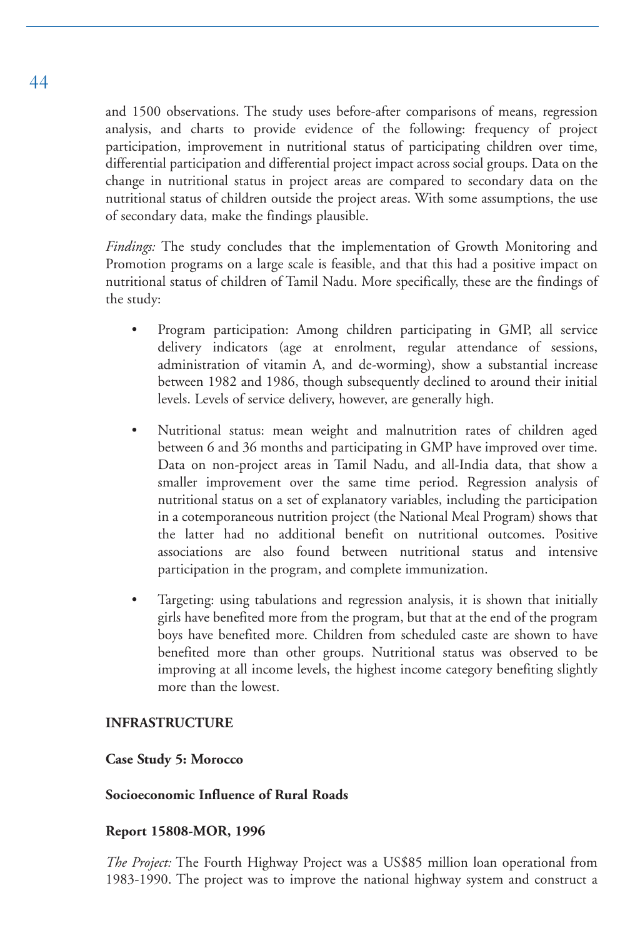and 1500 observations. The study uses before-after comparisons of means, regression analysis, and charts to provide evidence of the following: frequency of project participation, improvement in nutritional status of participating children over time, differential participation and differential project impact across social groups. Data on the change in nutritional status in project areas are compared to secondary data on the nutritional status of children outside the project areas. With some assumptions, the use of secondary data, make the findings plausible.

*Findings:* The study concludes that the implementation of Growth Monitoring and Promotion programs on a large scale is feasible, and that this had a positive impact on nutritional status of children of Tamil Nadu. More specifically, these are the findings of the study:

- Program participation: Among children participating in GMP, all service delivery indicators (age at enrolment, regular attendance of sessions, administration of vitamin A, and de-worming), show a substantial increase between 1982 and 1986, though subsequently declined to around their initial levels. Levels of service delivery, however, are generally high.
- Nutritional status: mean weight and malnutrition rates of children aged between 6 and 36 months and participating in GMP have improved over time. Data on non-project areas in Tamil Nadu, and all-India data, that show a smaller improvement over the same time period. Regression analysis of nutritional status on a set of explanatory variables, including the participation in a cotemporaneous nutrition project (the National Meal Program) shows that the latter had no additional benefit on nutritional outcomes. Positive associations are also found between nutritional status and intensive participation in the program, and complete immunization.
- Targeting: using tabulations and regression analysis, it is shown that initially girls have benefited more from the program, but that at the end of the program boys have benefited more. Children from scheduled caste are shown to have benefited more than other groups. Nutritional status was observed to be improving at all income levels, the highest income category benefiting slightly more than the lowest.

### **INFRASTRUCTURE**

### **Case Study 5: Morocco**

### **Socioeconomic Influence of Rural Roads**

### **Report 15808-MOR, 1996**

*The Project:* The Fourth Highway Project was a US\$85 million loan operational from 1983-1990. The project was to improve the national highway system and construct a

### 44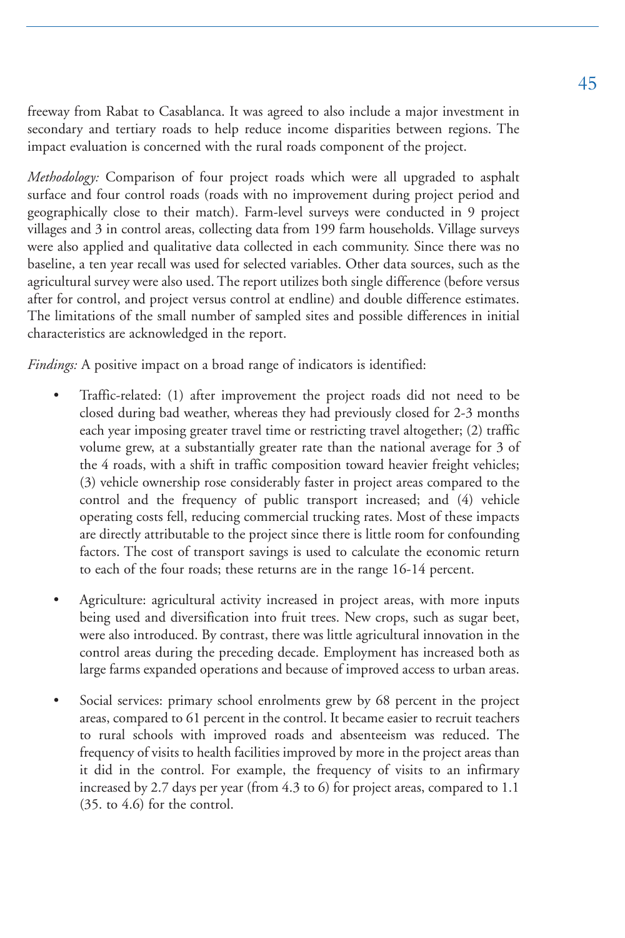freeway from Rabat to Casablanca. It was agreed to also include a major investment in secondary and tertiary roads to help reduce income disparities between regions. The impact evaluation is concerned with the rural roads component of the project.

*Methodology:* Comparison of four project roads which were all upgraded to asphalt surface and four control roads (roads with no improvement during project period and geographically close to their match). Farm-level surveys were conducted in 9 project villages and 3 in control areas, collecting data from 199 farm households. Village surveys were also applied and qualitative data collected in each community. Since there was no baseline, a ten year recall was used for selected variables. Other data sources, such as the agricultural survey were also used. The report utilizes both single difference (before versus after for control, and project versus control at endline) and double difference estimates. The limitations of the small number of sampled sites and possible differences in initial characteristics are acknowledged in the report.

*Findings:* A positive impact on a broad range of indicators is identified:

- Traffic-related: (1) after improvement the project roads did not need to be closed during bad weather, whereas they had previously closed for 2-3 months each year imposing greater travel time or restricting travel altogether; (2) traffic volume grew, at a substantially greater rate than the national average for 3 of the 4 roads, with a shift in traffic composition toward heavier freight vehicles; (3) vehicle ownership rose considerably faster in project areas compared to the control and the frequency of public transport increased; and (4) vehicle operating costs fell, reducing commercial trucking rates. Most of these impacts are directly attributable to the project since there is little room for confounding factors. The cost of transport savings is used to calculate the economic return to each of the four roads; these returns are in the range 16-14 percent.
- Agriculture: agricultural activity increased in project areas, with more inputs being used and diversification into fruit trees. New crops, such as sugar beet, were also introduced. By contrast, there was little agricultural innovation in the control areas during the preceding decade. Employment has increased both as large farms expanded operations and because of improved access to urban areas.
- Social services: primary school enrolments grew by 68 percent in the project areas, compared to 61 percent in the control. It became easier to recruit teachers to rural schools with improved roads and absenteeism was reduced. The frequency of visits to health facilities improved by more in the project areas than it did in the control. For example, the frequency of visits to an infirmary increased by 2.7 days per year (from 4.3 to 6) for project areas, compared to 1.1 (35. to 4.6) for the control.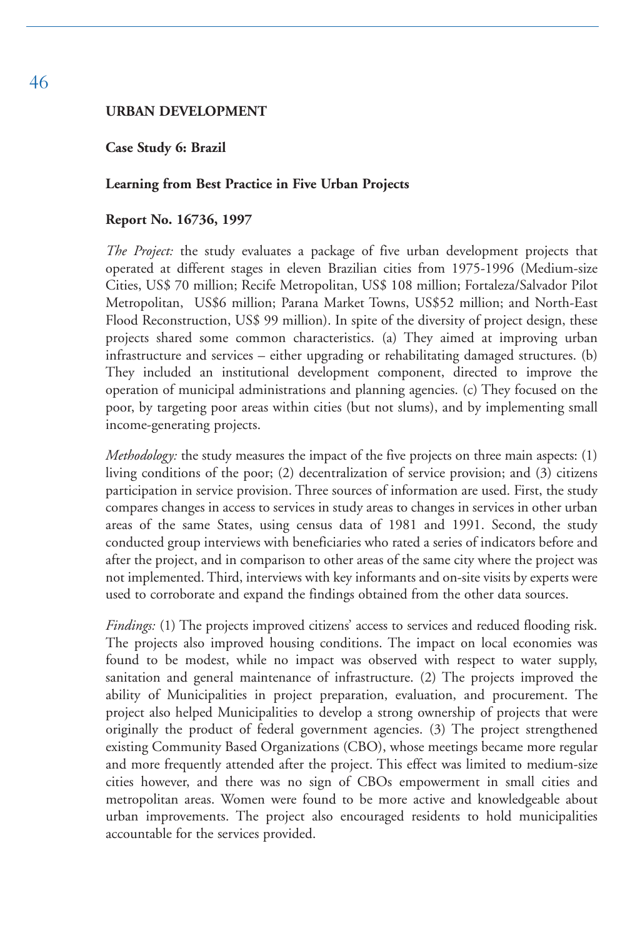### **URBAN DEVELOPMENT**

**Case Study 6: Brazil**

#### **Learning from Best Practice in Five Urban Projects**

#### **Report No. 16736, 1997**

*The Project:* the study evaluates a package of five urban development projects that operated at different stages in eleven Brazilian cities from 1975-1996 (Medium-size Cities, US\$ 70 million; Recife Metropolitan, US\$ 108 million; Fortaleza/Salvador Pilot Metropolitan, US\$6 million; Parana Market Towns, US\$52 million; and North-East Flood Reconstruction, US\$ 99 million). In spite of the diversity of project design, these projects shared some common characteristics. (a) They aimed at improving urban infrastructure and services – either upgrading or rehabilitating damaged structures. (b) They included an institutional development component, directed to improve the operation of municipal administrations and planning agencies. (c) They focused on the poor, by targeting poor areas within cities (but not slums), and by implementing small income-generating projects.

*Methodology:* the study measures the impact of the five projects on three main aspects: (1) living conditions of the poor; (2) decentralization of service provision; and (3) citizens participation in service provision. Three sources of information are used. First, the study compares changes in access to services in study areas to changes in services in other urban areas of the same States, using census data of 1981 and 1991. Second, the study conducted group interviews with beneficiaries who rated a series of indicators before and after the project, and in comparison to other areas of the same city where the project was not implemented. Third, interviews with key informants and on-site visits by experts were used to corroborate and expand the findings obtained from the other data sources.

*Findings:* (1) The projects improved citizens' access to services and reduced flooding risk. The projects also improved housing conditions. The impact on local economies was found to be modest, while no impact was observed with respect to water supply, sanitation and general maintenance of infrastructure. (2) The projects improved the ability of Municipalities in project preparation, evaluation, and procurement. The project also helped Municipalities to develop a strong ownership of projects that were originally the product of federal government agencies. (3) The project strengthened existing Community Based Organizations (CBO), whose meetings became more regular and more frequently attended after the project. This effect was limited to medium-size cities however, and there was no sign of CBOs empowerment in small cities and metropolitan areas. Women were found to be more active and knowledgeable about urban improvements. The project also encouraged residents to hold municipalities accountable for the services provided.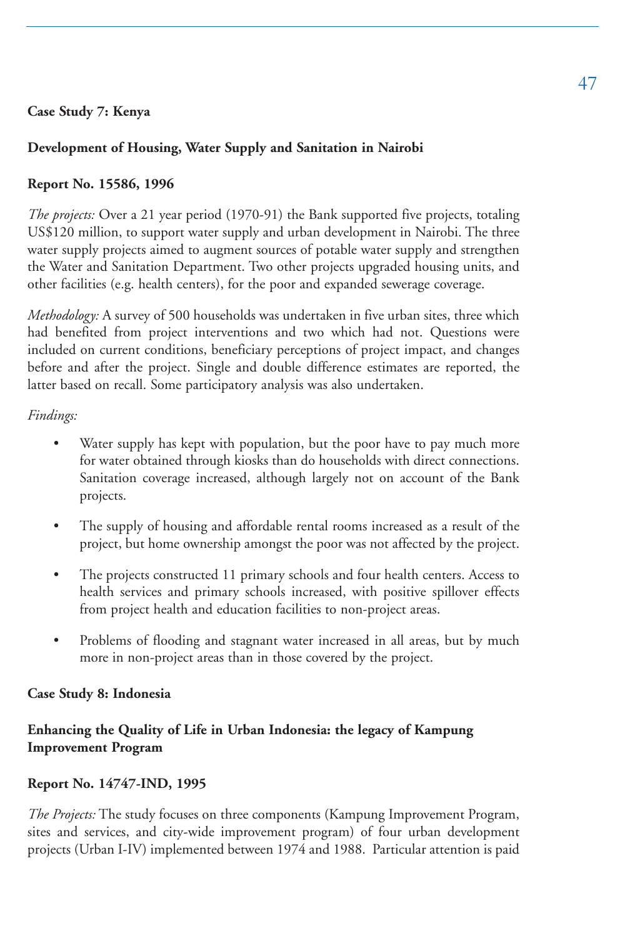### **Case Study 7: Kenya**

### **Development of Housing, Water Supply and Sanitation in Nairobi**

### **Report No. 15586, 1996**

*The projects:* Over a 21 year period (1970-91) the Bank supported five projects, totaling US\$120 million, to support water supply and urban development in Nairobi. The three water supply projects aimed to augment sources of potable water supply and strengthen the Water and Sanitation Department. Two other projects upgraded housing units, and other facilities (e.g. health centers), for the poor and expanded sewerage coverage.

*Methodology:* A survey of 500 households was undertaken in five urban sites, three which had benefited from project interventions and two which had not. Questions were included on current conditions, beneficiary perceptions of project impact, and changes before and after the project. Single and double difference estimates are reported, the latter based on recall. Some participatory analysis was also undertaken.

*Findings:* 

- Water supply has kept with population, but the poor have to pay much more for water obtained through kiosks than do households with direct connections. Sanitation coverage increased, although largely not on account of the Bank projects.
- The supply of housing and affordable rental rooms increased as a result of the project, but home ownership amongst the poor was not affected by the project.
- The projects constructed 11 primary schools and four health centers. Access to health services and primary schools increased, with positive spillover effects from project health and education facilities to non-project areas.
- Problems of flooding and stagnant water increased in all areas, but by much more in non-project areas than in those covered by the project.

### **Case Study 8: Indonesia**

### **Enhancing the Quality of Life in Urban Indonesia: the legacy of Kampung Improvement Program**

### **Report No. 14747-IND, 1995**

*The Projects:* The study focuses on three components (Kampung Improvement Program, sites and services, and city-wide improvement program) of four urban development projects (Urban I-IV) implemented between 1974 and 1988. Particular attention is paid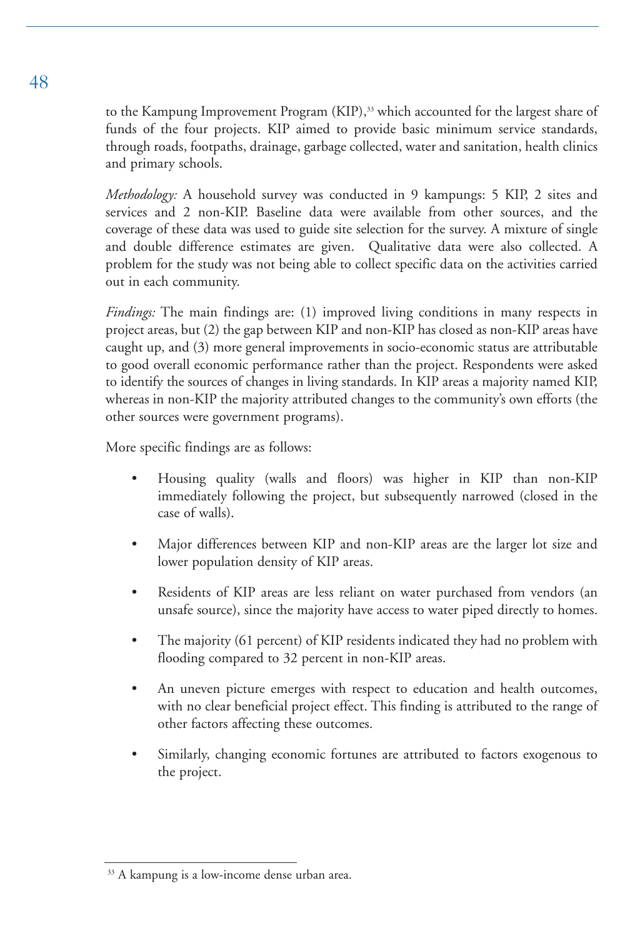to the Kampung Improvement Program (KIP),<sup>33</sup> which accounted for the largest share of funds of the four projects. KIP aimed to provide basic minimum service standards, through roads, footpaths, drainage, garbage collected, water and sanitation, health clinics and primary schools.

*Methodology:* A household survey was conducted in 9 kampungs: 5 KIP, 2 sites and services and 2 non-KIP. Baseline data were available from other sources, and the coverage of these data was used to guide site selection for the survey. A mixture of single and double difference estimates are given. Qualitative data were also collected. A problem for the study was not being able to collect specific data on the activities carried out in each community.

*Findings:* The main findings are: (1) improved living conditions in many respects in project areas, but (2) the gap between KIP and non-KIP has closed as non-KIP areas have caught up, and (3) more general improvements in socio-economic status are attributable to good overall economic performance rather than the project. Respondents were asked to identify the sources of changes in living standards. In KIP areas a majority named KIP, whereas in non-KIP the majority attributed changes to the community's own efforts (the other sources were government programs).

More specific findings are as follows:

- Housing quality (walls and floors) was higher in KIP than non-KIP immediately following the project, but subsequently narrowed (closed in the case of walls).
- Major differences between KIP and non-KIP areas are the larger lot size and lower population density of KIP areas.
- Residents of KIP areas are less reliant on water purchased from vendors (an unsafe source), since the majority have access to water piped directly to homes.
- The majority (61 percent) of KIP residents indicated they had no problem with flooding compared to 32 percent in non-KIP areas.
- An uneven picture emerges with respect to education and health outcomes, with no clear beneficial project effect. This finding is attributed to the range of other factors affecting these outcomes.
- Similarly, changing economic fortunes are attributed to factors exogenous to the project.

<sup>48</sup>

<sup>&</sup>lt;sup>33</sup> A kampung is a low-income dense urban area.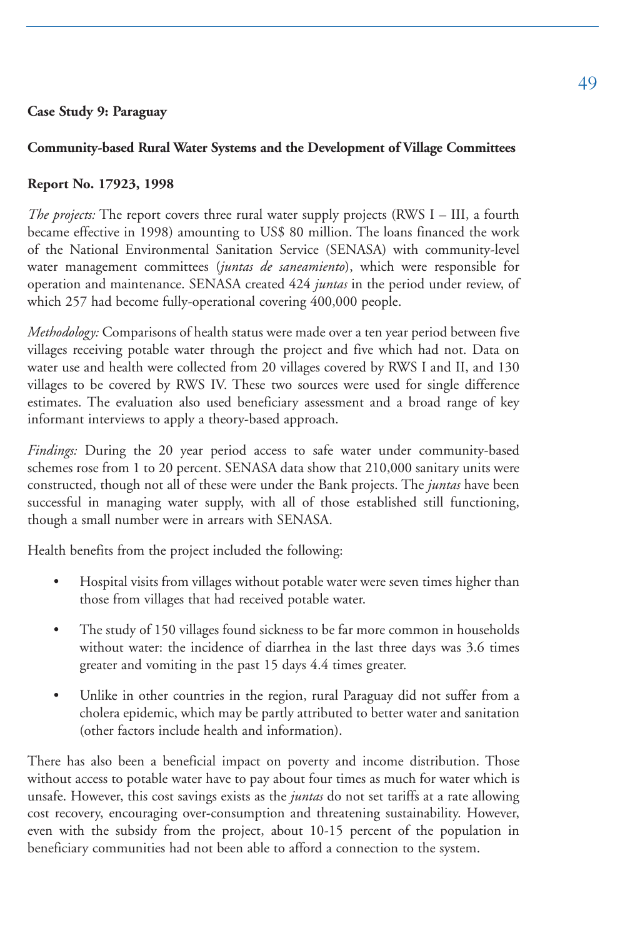### **Case Study 9: Paraguay**

### **Community-based Rural Water Systems and the Development of Village Committees**

### **Report No. 17923, 1998**

*The projects:* The report covers three rural water supply projects (RWS I – III, a fourth became effective in 1998) amounting to US\$ 80 million. The loans financed the work of the National Environmental Sanitation Service (SENASA) with community-level water management committees (*juntas de saneamiento*), which were responsible for operation and maintenance. SENASA created 424 *juntas* in the period under review, of which 257 had become fully-operational covering 400,000 people.

*Methodology:* Comparisons of health status were made over a ten year period between five villages receiving potable water through the project and five which had not. Data on water use and health were collected from 20 villages covered by RWS I and II, and 130 villages to be covered by RWS IV. These two sources were used for single difference estimates. The evaluation also used beneficiary assessment and a broad range of key informant interviews to apply a theory-based approach.

*Findings:* During the 20 year period access to safe water under community-based schemes rose from 1 to 20 percent. SENASA data show that 210,000 sanitary units were constructed, though not all of these were under the Bank projects. The *juntas* have been successful in managing water supply, with all of those established still functioning, though a small number were in arrears with SENASA.

Health benefits from the project included the following:

- Hospital visits from villages without potable water were seven times higher than those from villages that had received potable water.
- The study of 150 villages found sickness to be far more common in households without water: the incidence of diarrhea in the last three days was 3.6 times greater and vomiting in the past 15 days 4.4 times greater.
- Unlike in other countries in the region, rural Paraguay did not suffer from a cholera epidemic, which may be partly attributed to better water and sanitation (other factors include health and information).

There has also been a beneficial impact on poverty and income distribution. Those without access to potable water have to pay about four times as much for water which is unsafe. However, this cost savings exists as the *juntas* do not set tariffs at a rate allowing cost recovery, encouraging over-consumption and threatening sustainability. However, even with the subsidy from the project, about 10-15 percent of the population in beneficiary communities had not been able to afford a connection to the system.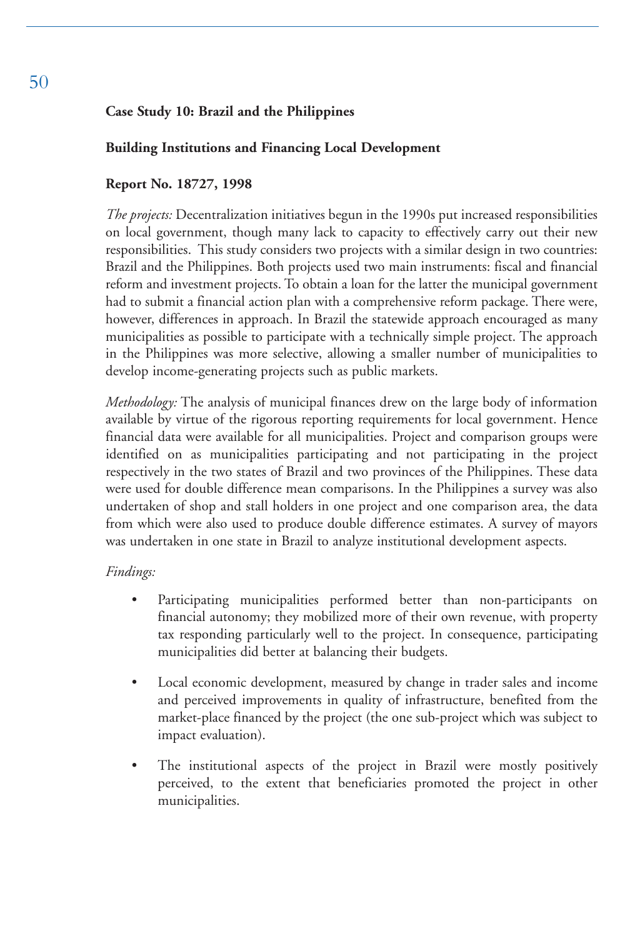### **Case Study 10: Brazil and the Philippines**

### **Building Institutions and Financing Local Development**

### **Report No. 18727, 1998**

*The projects:* Decentralization initiatives begun in the 1990s put increased responsibilities on local government, though many lack to capacity to effectively carry out their new responsibilities. This study considers two projects with a similar design in two countries: Brazil and the Philippines. Both projects used two main instruments: fiscal and financial reform and investment projects. To obtain a loan for the latter the municipal government had to submit a financial action plan with a comprehensive reform package. There were, however, differences in approach. In Brazil the statewide approach encouraged as many municipalities as possible to participate with a technically simple project. The approach in the Philippines was more selective, allowing a smaller number of municipalities to develop income-generating projects such as public markets.

*Methodology:* The analysis of municipal finances drew on the large body of information available by virtue of the rigorous reporting requirements for local government. Hence financial data were available for all municipalities. Project and comparison groups were identified on as municipalities participating and not participating in the project respectively in the two states of Brazil and two provinces of the Philippines. These data were used for double difference mean comparisons. In the Philippines a survey was also undertaken of shop and stall holders in one project and one comparison area, the data from which were also used to produce double difference estimates. A survey of mayors was undertaken in one state in Brazil to analyze institutional development aspects.

### *Findings:*

- Participating municipalities performed better than non-participants on financial autonomy; they mobilized more of their own revenue, with property tax responding particularly well to the project. In consequence, participating municipalities did better at balancing their budgets.
- Local economic development, measured by change in trader sales and income and perceived improvements in quality of infrastructure, benefited from the market-place financed by the project (the one sub-project which was subject to impact evaluation).
- The institutional aspects of the project in Brazil were mostly positively perceived, to the extent that beneficiaries promoted the project in other municipalities.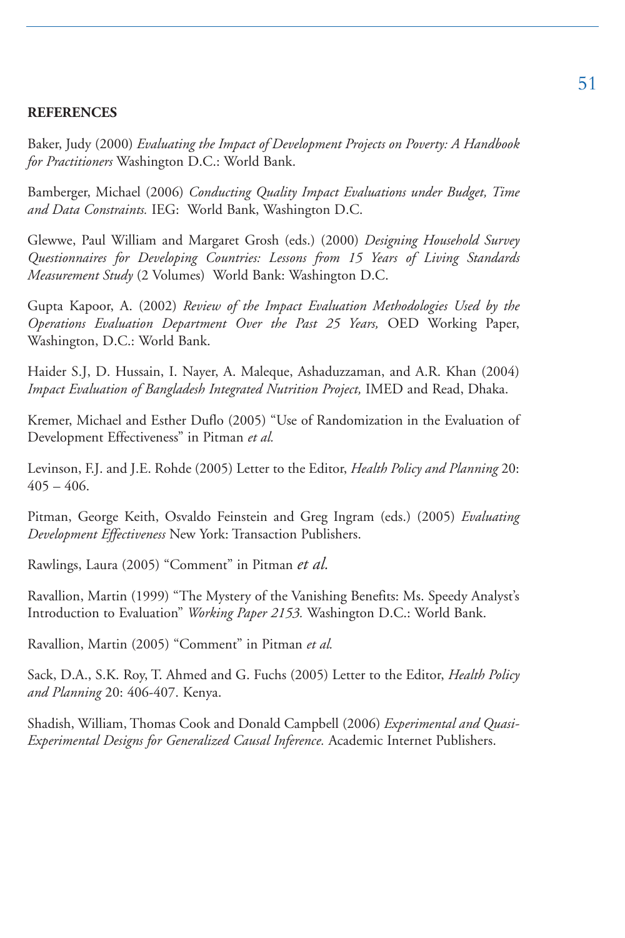#### **REFERENCES**

Baker, Judy (2000) *Evaluating the Impact of Development Projects on Poverty: A Handbook for Practitioners* Washington D.C.: World Bank.

Bamberger, Michael (2006) *Conducting Quality Impact Evaluations under Budget, Time and Data Constraints.* IEG: World Bank, Washington D.C.

Glewwe, Paul William and Margaret Grosh (eds.) (2000) *Designing Household Survey Questionnaires for Developing Countries: Lessons from 15 Years of Living Standards Measurement Study* (2 Volumes) World Bank: Washington D.C.

Gupta Kapoor, A. (2002) *Review of the Impact Evaluation Methodologies Used by the Operations Evaluation Department Over the Past 25 Years,* OED Working Paper, Washington, D.C.: World Bank.

Haider S.J, D. Hussain, I. Nayer, A. Maleque, Ashaduzzaman, and A.R. Khan (2004) *Impact Evaluation of Bangladesh Integrated Nutrition Project,* IMED and Read, Dhaka.

Kremer, Michael and Esther Duflo (2005) "Use of Randomization in the Evaluation of Development Effectiveness" in Pitman *et al.*

Levinson, F.J. and J.E. Rohde (2005) Letter to the Editor, *Health Policy and Planning* 20:  $405 - 406.$ 

Pitman, George Keith, Osvaldo Feinstein and Greg Ingram (eds.) (2005) *Evaluating Development Effectiveness* New York: Transaction Publishers.

Rawlings, Laura (2005) "Comment" in Pitman *et al.*

Ravallion, Martin (1999) "The Mystery of the Vanishing Benefits: Ms. Speedy Analyst's Introduction to Evaluation" *Working Paper 2153.* Washington D.C.: World Bank.

Ravallion, Martin (2005) "Comment" in Pitman *et al.*

Sack, D.A., S.K. Roy, T. Ahmed and G. Fuchs (2005) Letter to the Editor, *Health Policy and Planning* 20: 406-407. Kenya.

Shadish, William, Thomas Cook and Donald Campbell (2006) *Experimental and Quasi-Experimental Designs for Generalized Causal Inference.* Academic Internet Publishers.